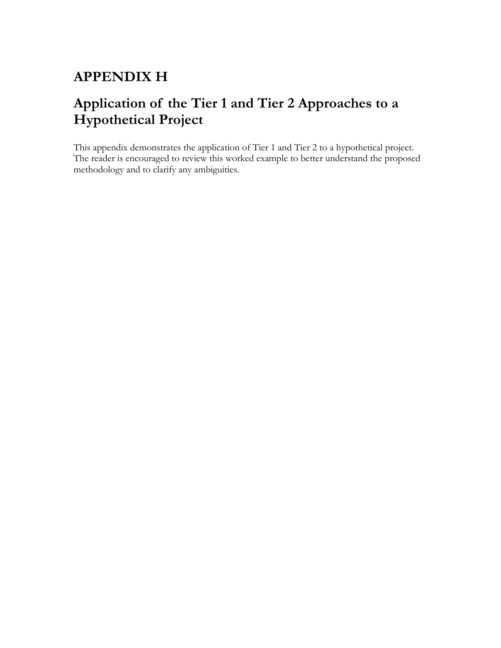# **APPENDIX H**

# **Application of the Tier 1 and Tier 2 Approaches to a Hypothetical Project**

This appendix demonstrates the application of Tier 1 and Tier 2 to a hypothetical project. The reader is encouraged to review this worked example to better understand the proposed methodology and to clarify any ambiguities.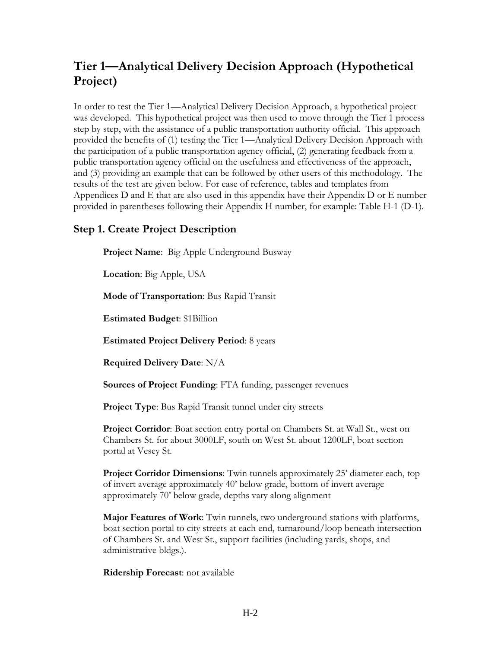# **Tier 1—Analytical Delivery Decision Approach (Hypothetical Project)**

In order to test the Tier 1—Analytical Delivery Decision Approach, a hypothetical project was developed. This hypothetical project was then used to move through the Tier 1 process step by step, with the assistance of a public transportation authority official. This approach provided the benefits of (1) testing the Tier 1—Analytical Delivery Decision Approach with the participation of a public transportation agency official, (2) generating feedback from a public transportation agency official on the usefulness and effectiveness of the approach, and (3) providing an example that can be followed by other users of this methodology. The results of the test are given below. For ease of reference, tables and templates from Appendices D and E that are also used in this appendix have their Appendix D or E number provided in parentheses following their Appendix H number, for example: Table H-1 (D-1).

# **Step 1. Create Project Description**

**Project Name**: Big Apple Underground Busway

**Location**: Big Apple, USA

**Mode of Transportation**: Bus Rapid Transit

**Estimated Budget**: \$1Billion

**Estimated Project Delivery Period**: 8 years

**Required Delivery Date**: N/A

**Sources of Project Funding**: FTA funding, passenger revenues

**Project Type**: Bus Rapid Transit tunnel under city streets

**Project Corridor**: Boat section entry portal on Chambers St. at Wall St., west on Chambers St. for about 3000LF, south on West St. about 1200LF, boat section portal at Vesey St.

**Project Corridor Dimensions**: Twin tunnels approximately 25' diameter each, top of invert average approximately 40' below grade, bottom of invert average approximately 70' below grade, depths vary along alignment

**Major Features of Work**: Twin tunnels, two underground stations with platforms, boat section portal to city streets at each end, turnaround/loop beneath intersection of Chambers St. and West St., support facilities (including yards, shops, and administrative bldgs.).

**Ridership Forecast**: not available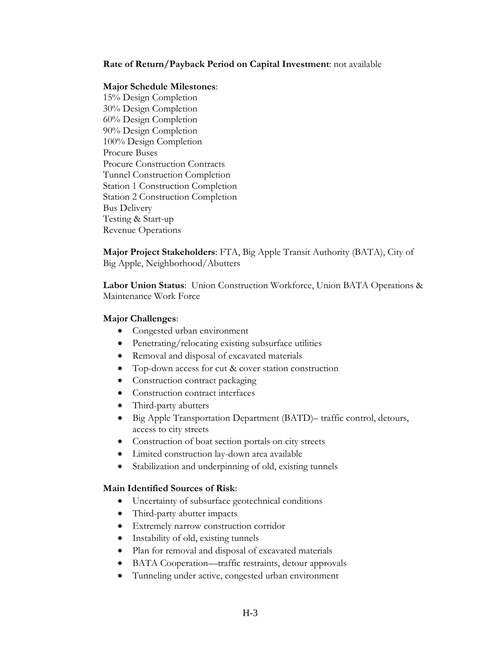#### **Rate of Return/Payback Period on Capital Investment**: not available

#### **Major Schedule Milestones**:

15% Design Completion 30% Design Completion 60% Design Completion 90% Design Completion 100% Design Completion Procure Buses Procure Construction Contracts Tunnel Construction Completion Station 1 Construction Completion Station 2 Construction Completion Bus Delivery Testing & Start-up Revenue Operations

**Major Project Stakeholders**: FTA, Big Apple Transit Authority (BATA), City of Big Apple, Neighborhood/Abutters

**Labor Union Status**: Union Construction Workforce, Union BATA Operations & Maintenance Work Force

#### **Major Challenges**:

- Congested urban environment
- Penetrating/relocating existing subsurface utilities
- Removal and disposal of excavated materials
- Top-down access for cut & cover station construction
- Construction contract packaging
- Construction contract interfaces
- Third-party abutters
- Big Apple Transportation Department (BATD)– traffic control, detours, access to city streets
- Construction of boat section portals on city streets
- Limited construction lay-down area available
- Stabilization and underpinning of old, existing tunnels

#### **Main Identified Sources of Risk**:

- Uncertainty of subsurface geotechnical conditions
- Third-party abutter impacts
- Extremely narrow construction corridor
- Instability of old, existing tunnels
- Plan for removal and disposal of excavated materials
- BATA Cooperation—traffic restraints, detour approvals
- Tunneling under active, congested urban environment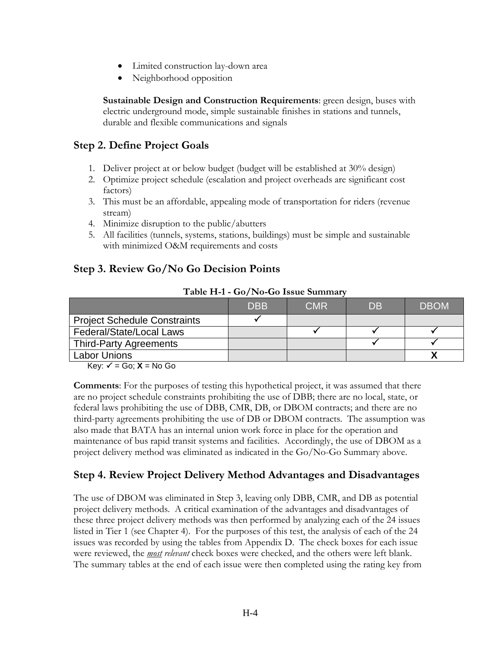- Limited construction lay-down area
- Neighborhood opposition

**Sustainable Design and Construction Requirements**: green design, buses with electric underground mode, simple sustainable finishes in stations and tunnels, durable and flexible communications and signals

# **Step 2. Define Project Goals**

- 1. Deliver project at or below budget (budget will be established at 30% design)
- 2. Optimize project schedule (escalation and project overheads are significant cost factors)
- 3. This must be an affordable, appealing mode of transportation for riders (revenue stream)
- 4. Minimize disruption to the public/abutters
- 5. All facilities (tunnels, systems, stations, buildings) must be simple and sustainable with minimized O&M requirements and costs

# **Step 3. Review Go/No Go Decision Points**

|                                     | <b>DBB</b> | <b>CMR</b> | DB | <b>DBOM</b> |
|-------------------------------------|------------|------------|----|-------------|
| <b>Project Schedule Constraints</b> |            |            |    |             |
| Federal/State/Local Laws            |            |            |    |             |
| <b>Third-Party Agreements</b>       |            |            |    |             |
| <b>Labor Unions</b>                 |            |            |    |             |

#### **Table H-1 - Go/No-Go Issue Summary**

 $Key: \checkmark = Go; X = No Go$ 

**Comments**: For the purposes of testing this hypothetical project, it was assumed that there are no project schedule constraints prohibiting the use of DBB; there are no local, state, or federal laws prohibiting the use of DBB, CMR, DB, or DBOM contracts; and there are no third-party agreements prohibiting the use of DB or DBOM contracts. The assumption was also made that BATA has an internal union work force in place for the operation and maintenance of bus rapid transit systems and facilities. Accordingly, the use of DBOM as a project delivery method was eliminated as indicated in the Go/No-Go Summary above.

# **Step 4. Review Project Delivery Method Advantages and Disadvantages**

The use of DBOM was eliminated in Step 3, leaving only DBB, CMR, and DB as potential project delivery methods. A critical examination of the advantages and disadvantages of these three project delivery methods was then performed by analyzing each of the 24 issues listed in Tier 1 (see Chapter 4). For the purposes of this test, the analysis of each of the 24 issues was recorded by using the tables from Appendix D. The check boxes for each issue were reviewed, the *most relevant* check boxes were checked, and the others were left blank. The summary tables at the end of each issue were then completed using the rating key from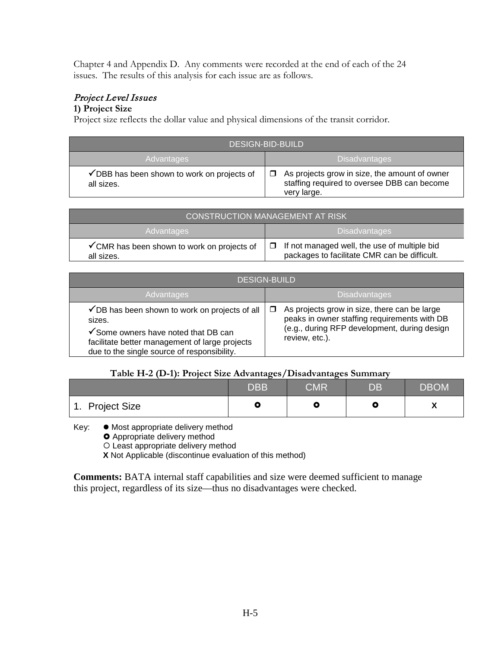Chapter 4 and Appendix D. Any comments were recorded at the end of each of the 24 issues. The results of this analysis for each issue are as follows.

# Project Level Issues

## **1) Project Size**

Project size reflects the dollar value and physical dimensions of the transit corridor.

| <b>DESIGN-BID-BUILD</b>                                   |                                                                                                             |  |
|-----------------------------------------------------------|-------------------------------------------------------------------------------------------------------------|--|
| Advantages                                                | <b>Disadvantages</b>                                                                                        |  |
| ✔ DBB has been shown to work on projects of<br>all sizes. | As projects grow in size, the amount of owner<br>staffing required to oversee DBB can become<br>very large. |  |

| <b>CONSTRUCTION MANAGEMENT AT RISK</b>                    |                                                                                              |  |
|-----------------------------------------------------------|----------------------------------------------------------------------------------------------|--|
| Advantages                                                | <b>Disadvantages</b>                                                                         |  |
| ✔ CMR has been shown to work on projects of<br>all sizes. | If not managed well, the use of multiple bid<br>packages to facilitate CMR can be difficult. |  |

| <b>DESIGN-BUILD</b>                                                                                                                                                                               |                                                                                                                                                                |  |  |
|---------------------------------------------------------------------------------------------------------------------------------------------------------------------------------------------------|----------------------------------------------------------------------------------------------------------------------------------------------------------------|--|--|
| Advantages                                                                                                                                                                                        | <b>Disadvantages</b>                                                                                                                                           |  |  |
| ✔ DB has been shown to work on projects of all<br>sizes.<br>✔ Some owners have noted that DB can<br>facilitate better management of large projects<br>due to the single source of responsibility. | As projects grow in size, there can be large<br>peaks in owner staffing requirements with DB<br>(e.g., during RFP development, during design<br>review, etc.). |  |  |

### **Table H-2 (D-1): Project Size Advantages/Disadvantages Summary**

|                        | <b>DBB</b> | $\mathsf{CMR}^!$ | DB | <b>DBOM</b> |
|------------------------|------------|------------------|----|-------------|
| 1. Project Size<br>- 4 | О          |                  | ш  |             |

Key: ● Most appropriate delivery method

**O** Appropriate delivery method

Least appropriate delivery method

**X** Not Applicable (discontinue evaluation of this method)

**Comments:** BATA internal staff capabilities and size were deemed sufficient to manage this project, regardless of its size—thus no disadvantages were checked.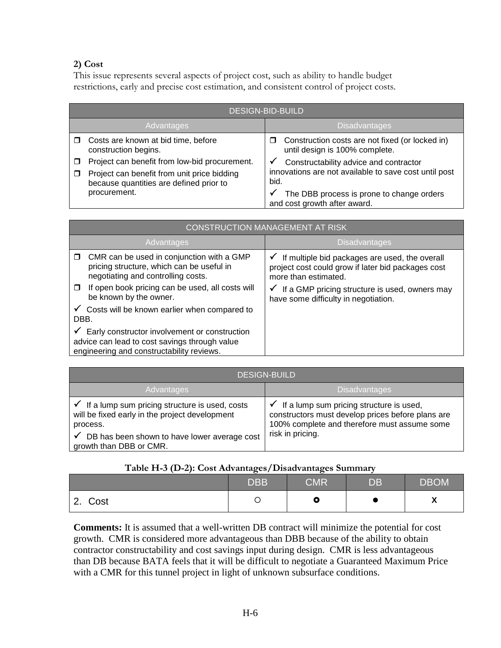## **2) Cost**

This issue represents several aspects of project cost, such as ability to handle budget restrictions, early and precise cost estimation, and consistent control of project costs.

| <b>DESIGN-BID-BUILD</b>                                                                                                                 |                                                                                                              |  |
|-----------------------------------------------------------------------------------------------------------------------------------------|--------------------------------------------------------------------------------------------------------------|--|
| Advantages                                                                                                                              | <b>Disadvantages</b>                                                                                         |  |
| Costs are known at bid time, before<br>construction begins.                                                                             | Construction costs are not fixed (or locked in)<br>□<br>until design is 100% complete.                       |  |
| Project can benefit from low-bid procurement.<br>Project can benefit from unit price bidding<br>because quantities are defined prior to | Constructability advice and contractor<br>✔<br>innovations are not available to save cost until post<br>bid. |  |
| procurement.                                                                                                                            | The DBB process is prone to change orders<br>and cost growth after award.                                    |  |

| CONSTRUCTION MANAGEMENT AT RISK                                                                                                             |                                                                                                                                           |  |
|---------------------------------------------------------------------------------------------------------------------------------------------|-------------------------------------------------------------------------------------------------------------------------------------------|--|
| Advantages                                                                                                                                  | <b>Disadvantages</b>                                                                                                                      |  |
| CMR can be used in conjunction with a GMP<br>$\Box$<br>pricing structure, which can be useful in<br>negotiating and controlling costs.      | $\checkmark$ If multiple bid packages are used, the overall<br>project cost could grow if later bid packages cost<br>more than estimated. |  |
| If open book pricing can be used, all costs will<br>□<br>be known by the owner.                                                             | If a GMP pricing structure is used, owners may<br>have some difficulty in negotiation.                                                    |  |
| $\checkmark$ Costs will be known earlier when compared to<br>DBB.                                                                           |                                                                                                                                           |  |
| Early constructor involvement or construction<br>advice can lead to cost savings through value<br>engineering and constructability reviews. |                                                                                                                                           |  |

| DESIGN-BUILD                                                                                                                                                                                                     |                                                                                                                                                                                |  |
|------------------------------------------------------------------------------------------------------------------------------------------------------------------------------------------------------------------|--------------------------------------------------------------------------------------------------------------------------------------------------------------------------------|--|
| Advantages                                                                                                                                                                                                       | <b>Disadvantages</b>                                                                                                                                                           |  |
| $\checkmark$ If a lump sum pricing structure is used, costs<br>will be fixed early in the project development<br>process.<br>$\sim$ DB has been shown to have lower average cost<br>✓<br>growth than DBB or CMR. | $\checkmark$ If a lump sum pricing structure is used,<br>constructors must develop prices before plans are<br>100% complete and therefore must assume some<br>risk in pricing. |  |

### **Table H-3 (D-2): Cost Advantages/Disadvantages Summary**

|                         | <b>DBB</b> | <b>CMR</b> | $\overline{\mathsf{DB}}$ | <b>DBOM</b> |
|-------------------------|------------|------------|--------------------------|-------------|
| Cost<br>ົົ<br><u>L.</u> |            | О          |                          | A           |

**Comments:** It is assumed that a well-written DB contract will minimize the potential for cost growth. CMR is considered more advantageous than DBB because of the ability to obtain contractor constructability and cost savings input during design. CMR is less advantageous than DB because BATA feels that it will be difficult to negotiate a Guaranteed Maximum Price with a CMR for this tunnel project in light of unknown subsurface conditions.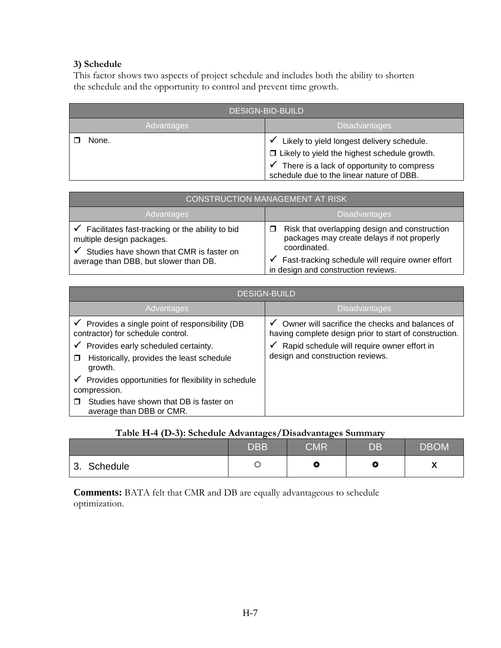## **3) Schedule**

This factor shows two aspects of project schedule and includes both the ability to shorten the schedule and the opportunity to control and prevent time growth.

| <b>DESIGN-BID-BUILD</b>            |                                                                                                                                                                                              |  |
|------------------------------------|----------------------------------------------------------------------------------------------------------------------------------------------------------------------------------------------|--|
| <b>Disadvantages</b><br>Advantages |                                                                                                                                                                                              |  |
| None.                              | Likely to yield longest delivery schedule.<br>$\Box$ Likely to yield the highest schedule growth.<br>There is a lack of opportunity to compress<br>schedule due to the linear nature of DBB. |  |

| CONSTRUCTION MANAGEMENT AT RISK                                                                                               |                                                                                                             |  |
|-------------------------------------------------------------------------------------------------------------------------------|-------------------------------------------------------------------------------------------------------------|--|
| Advantages                                                                                                                    | <b>Disadvantages</b>                                                                                        |  |
| Facilitates fast-tracking or the ability to bid<br>√<br>multiple design packages.<br>Studies have shown that CMR is faster on | Risk that overlapping design and construction<br>packages may create delays if not properly<br>coordinated. |  |
| average than DBB, but slower than DB.                                                                                         | Fast-tracking schedule will require owner effort<br>in design and construction reviews.                     |  |

| <b>DESIGN-BUILD</b>                                                                                                                                    |                                                                                                                                                                          |  |
|--------------------------------------------------------------------------------------------------------------------------------------------------------|--------------------------------------------------------------------------------------------------------------------------------------------------------------------------|--|
| Advantages                                                                                                                                             | <b>Disadvantages</b>                                                                                                                                                     |  |
| $\checkmark$ Provides a single point of responsibility (DB<br>contractor) for schedule control.<br>Provides early scheduled certainty.<br>$\checkmark$ | Owner will sacrifice the checks and balances of<br>$\checkmark$<br>having complete design prior to start of construction.<br>Rapid schedule will require owner effort in |  |
| Historically, provides the least schedule<br>$\Box$<br>growth.                                                                                         | design and construction reviews.                                                                                                                                         |  |
| Provides opportunities for flexibility in schedule<br>$\checkmark$<br>compression.                                                                     |                                                                                                                                                                          |  |
| Studies have shown that DB is faster on<br>average than DBB or CMR.                                                                                    |                                                                                                                                                                          |  |

#### **Table H-4 (D-3): Schedule Advantages/Disadvantages Summary**

|                            | <b>DBB</b> | CMR | DB | <b>DBOM</b>     |
|----------------------------|------------|-----|----|-----------------|
| <b>Schedule</b><br>⌒<br>J. |            | о   | w  | $\bullet$<br>,, |

**Comments:** BATA felt that CMR and DB are equally advantageous to schedule optimization.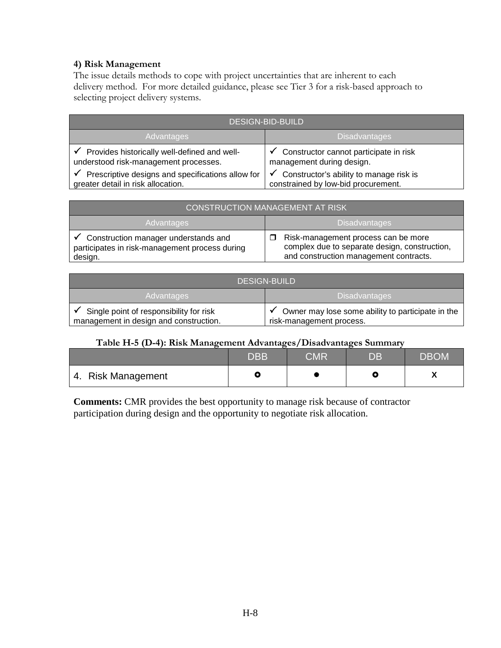#### **4) Risk Management**

The issue details methods to cope with project uncertainties that are inherent to each delivery method. For more detailed guidance, please see Tier 3 for a risk-based approach to selecting project delivery systems.

| <b>DESIGN-BID-BUILD</b>                           |                                         |  |
|---------------------------------------------------|-----------------------------------------|--|
| <b>Advantages</b>                                 | <b>Disadvantages</b>                    |  |
| Provides historically well-defined and well-      | Constructor cannot participate in risk  |  |
| understood risk-management processes.             | management during design.               |  |
| Prescriptive designs and specifications allow for | Constructor's ability to manage risk is |  |
| √                                                 | ✓                                       |  |
| greater detail in risk allocation.                | constrained by low-bid procurement.     |  |

| <b>CONSTRUCTION MANAGEMENT AT RISK</b>                                                                         |                                                                                                                                |  |
|----------------------------------------------------------------------------------------------------------------|--------------------------------------------------------------------------------------------------------------------------------|--|
| <b>Advantages</b>                                                                                              | Disadvantages                                                                                                                  |  |
| $\checkmark$ Construction manager understands and<br>participates in risk-management process during<br>design. | Risk-management process can be more<br>complex due to separate design, construction,<br>and construction management contracts. |  |

| <b>DESIGN-BUILD</b>                                                               |                                                                               |  |
|-----------------------------------------------------------------------------------|-------------------------------------------------------------------------------|--|
| Advantages                                                                        | <b>Disadvantages</b>                                                          |  |
| Single point of responsibility for risk<br>management in design and construction. | Owner may lose some ability to participate in the<br>risk-management process. |  |

#### **Table H-5 (D-4): Risk Management Advantages/Disadvantages Summary**

|                    | ${\sf DBB}$ | CMR | DB | DBOM |
|--------------------|-------------|-----|----|------|
| 4. Risk Management |             |     |    |      |

**Comments:** CMR provides the best opportunity to manage risk because of contractor participation during design and the opportunity to negotiate risk allocation.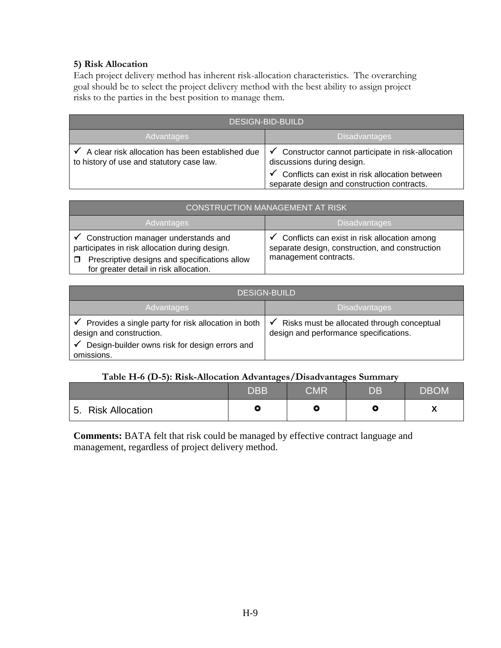#### **5) Risk Allocation**

Each project delivery method has inherent risk-allocation characteristics. The overarching goal should be to select the project delivery method with the best ability to assign project risks to the parties in the best position to manage them.

| <b>DESIGN-BID-BUILD</b>                                                                       |                                                                                                                                                                                                                  |  |
|-----------------------------------------------------------------------------------------------|------------------------------------------------------------------------------------------------------------------------------------------------------------------------------------------------------------------|--|
| Advantages                                                                                    | <b>Disadvantages</b>                                                                                                                                                                                             |  |
| A clear risk allocation has been established due<br>to history of use and statutory case law. | $\checkmark$<br>Constructor cannot participate in risk-allocation<br>discussions during design.<br>Conflicts can exist in risk allocation between<br>$\checkmark$<br>separate design and construction contracts. |  |

| <b>CONSTRUCTION MANAGEMENT AT RISK</b>                                                                                                                                                                   |                                                                                                                                       |  |
|----------------------------------------------------------------------------------------------------------------------------------------------------------------------------------------------------------|---------------------------------------------------------------------------------------------------------------------------------------|--|
| <b>Advantages</b>                                                                                                                                                                                        | <b>Disadvantages</b>                                                                                                                  |  |
| $\checkmark$ Construction manager understands and<br>participates in risk allocation during design.<br>Prescriptive designs and specifications allow<br>$\Box$<br>for greater detail in risk allocation. | $\checkmark$ Conflicts can exist in risk allocation among<br>separate design, construction, and construction<br>management contracts. |  |

| <b>DESIGN-BUILD</b>                                                                                                                                       |                                                                                                      |  |
|-----------------------------------------------------------------------------------------------------------------------------------------------------------|------------------------------------------------------------------------------------------------------|--|
| Advantages                                                                                                                                                | <b>Disadvantages</b>                                                                                 |  |
| Provides a single party for risk allocation in both<br>✔<br>design and construction.<br>Design-builder owns risk for design errors and<br>✔<br>omissions. | Risks must be allocated through conceptual<br>$\checkmark$<br>design and performance specifications. |  |

#### **Table H-6 (D-5): Risk-Allocation Advantages/Disadvantages Summary**

|                    | <b>DBB</b> | CMR | DB. | <b>DBOM</b> |
|--------------------|------------|-----|-----|-------------|
| 5. Risk Allocation |            |     |     |             |

**Comments:** BATA felt that risk could be managed by effective contract language and management, regardless of project delivery method.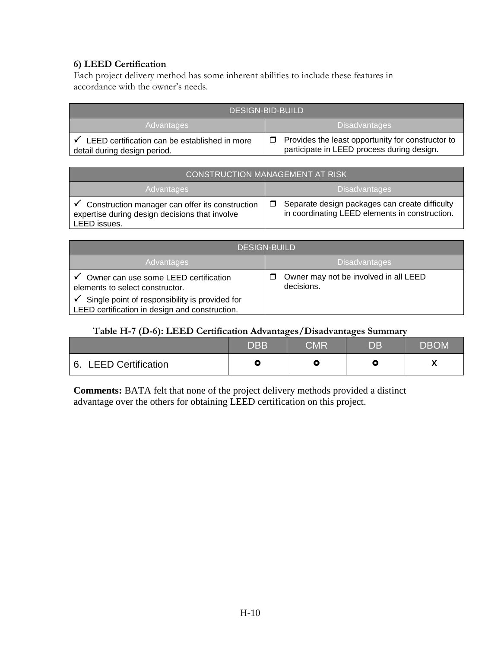## **6) LEED Certification**

Each project delivery method has some inherent abilities to include these features in accordance with the owner's needs.

| <b>DESIGN-BID-BUILD</b>                                                       |                                                                                                 |  |
|-------------------------------------------------------------------------------|-------------------------------------------------------------------------------------------------|--|
| <b>Disadvantages</b><br>Advantages                                            |                                                                                                 |  |
| LEED certification can be established in more<br>detail during design period. | Provides the least opportunity for constructor to<br>participate in LEED process during design. |  |

| CONSTRUCTION MANAGEMENT AT RISK                                                                                   |                                                                                                  |  |
|-------------------------------------------------------------------------------------------------------------------|--------------------------------------------------------------------------------------------------|--|
| Advantages                                                                                                        | <b>Disadvantages</b>                                                                             |  |
| Construction manager can offer its construction<br>expertise during design decisions that involve<br>LEED issues. | Separate design packages can create difficulty<br>in coordinating LEED elements in construction. |  |

| <b>DESIGN-BUILD</b>                                                                              |                                                          |  |  |
|--------------------------------------------------------------------------------------------------|----------------------------------------------------------|--|--|
| Advantages                                                                                       | <b>Disadvantages</b>                                     |  |  |
| Owner can use some LEED certification<br>elements to select constructor.                         | Owner may not be involved in all LEED<br>П<br>decisions. |  |  |
| Single point of responsibility is provided for<br>LEED certification in design and construction. |                                                          |  |  |

#### **Table H-7 (D-6): LEED Certification Advantages/Disadvantages Summary**

|                                 | <b>DBB</b> | <b>CMR</b> | DB | DBOM |
|---------------------------------|------------|------------|----|------|
| <b>LEED Certification</b><br>6. |            |            |    |      |

**Comments:** BATA felt that none of the project delivery methods provided a distinct advantage over the others for obtaining LEED certification on this project.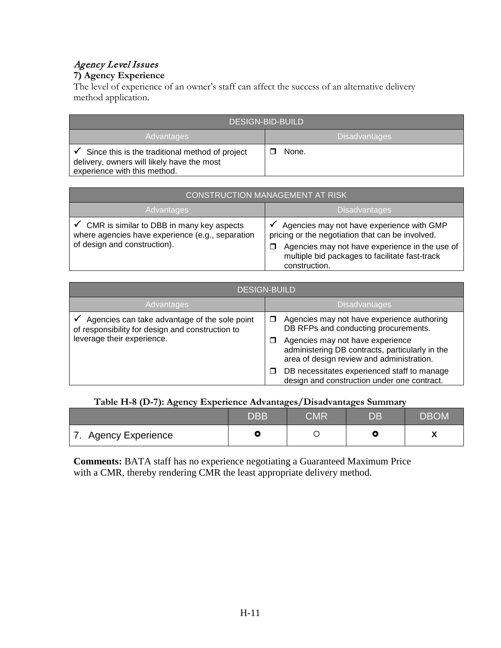# Agency Level Issues

# **7) Agency Experience**

The level of experience of an owner's staff can affect the success of an alternative delivery method application.

| <b>DESIGN-BID-BUILD</b>                                                                                                            |                      |  |
|------------------------------------------------------------------------------------------------------------------------------------|----------------------|--|
| Advantages                                                                                                                         | <b>Disadvantages</b> |  |
| Since this is the traditional method of project<br>✔<br>delivery, owners will likely have the most<br>experience with this method. | None.                |  |

| <b>CONSTRUCTION MANAGEMENT AT RISK</b>                                                                                                     |                                                                                                                                                                                                                    |  |
|--------------------------------------------------------------------------------------------------------------------------------------------|--------------------------------------------------------------------------------------------------------------------------------------------------------------------------------------------------------------------|--|
| Advantages                                                                                                                                 | <b>Disadvantages</b>                                                                                                                                                                                               |  |
| $\checkmark$ CMR is similar to DBB in many key aspects<br>where agencies have experience (e.g., separation<br>of design and construction). | Agencies may not have experience with GMP<br>pricing or the negotiation that can be involved.<br>Agencies may not have experience in the use of<br>multiple bid packages to facilitate fast-track<br>construction. |  |

| <b>DESIGN-BUILD</b>                                                                               |                                                                                                                                  |  |
|---------------------------------------------------------------------------------------------------|----------------------------------------------------------------------------------------------------------------------------------|--|
| Advantages                                                                                        | <b>Disadvantages</b>                                                                                                             |  |
| Agencies can take advantage of the sole point<br>of responsibility for design and construction to | Agencies may not have experience authoring<br>DB RFPs and conducting procurements.                                               |  |
| leverage their experience.                                                                        | Agencies may not have experience<br>administering DB contracts, particularly in the<br>area of design review and administration. |  |
|                                                                                                   | DB necessitates experienced staff to manage<br>design and construction under one contract.                                       |  |

## **Table H-8 (D-7): Agency Experience Advantages/Disadvantages Summary**

|                      | <b>DBB</b> | CMR | DB | <b>IDBOM</b> |
|----------------------|------------|-----|----|--------------|
| 7. Agency Experience |            |     |    |              |

**Comments:** BATA staff has no experience negotiating a Guaranteed Maximum Price with a CMR, thereby rendering CMR the least appropriate delivery method.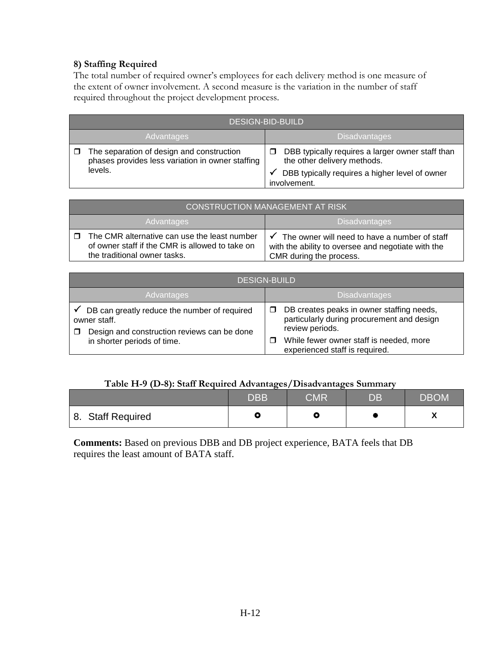### **8) Staffing Required**

The total number of required owner's employees for each delivery method is one measure of the extent of owner involvement. A second measure is the variation in the number of staff required throughout the project development process.

| <b>DESIGN-BID-BUILD</b>                                                                                  |                                                                                                                                                   |  |
|----------------------------------------------------------------------------------------------------------|---------------------------------------------------------------------------------------------------------------------------------------------------|--|
| <b>Advantages</b><br><b>Disadvantages</b>                                                                |                                                                                                                                                   |  |
| The separation of design and construction<br>phases provides less variation in owner staffing<br>levels. | DBB typically requires a larger owner staff than<br>the other delivery methods.<br>DBB typically requires a higher level of owner<br>involvement. |  |

| <b>CONSTRUCTION MANAGEMENT AT RISK</b>                                                                                          |                                                                                                                                |  |
|---------------------------------------------------------------------------------------------------------------------------------|--------------------------------------------------------------------------------------------------------------------------------|--|
| <b>Advantages</b>                                                                                                               | <b>Disadvantages</b>                                                                                                           |  |
| The CMR alternative can use the least number<br>of owner staff if the CMR is allowed to take on<br>the traditional owner tasks. | The owner will need to have a number of staff<br>with the ability to oversee and negotiate with the<br>CMR during the process. |  |

| <b>DESIGN-BUILD</b>                                                                                                                        |                                                                                                                                                                                         |  |  |
|--------------------------------------------------------------------------------------------------------------------------------------------|-----------------------------------------------------------------------------------------------------------------------------------------------------------------------------------------|--|--|
| Advantages                                                                                                                                 | <b>Disadvantages</b>                                                                                                                                                                    |  |  |
| DB can greatly reduce the number of required<br>owner staff.<br>Design and construction reviews can be done<br>in shorter periods of time. | DB creates peaks in owner staffing needs,<br>particularly during procurement and design<br>review periods.<br>While fewer owner staff is needed, more<br>experienced staff is required. |  |  |

## **Table H-9 (D-8): Staff Required Advantages/Disadvantages Summary**

|                   | <b>DBB</b> | <b>CMR</b> | $\overline{\mathsf{D}}\mathsf{B}$ | <b>DBOM</b> |
|-------------------|------------|------------|-----------------------------------|-------------|
| 8. Staff Required |            | $\sigma$   |                                   |             |

**Comments:** Based on previous DBB and DB project experience, BATA feels that DB requires the least amount of BATA staff.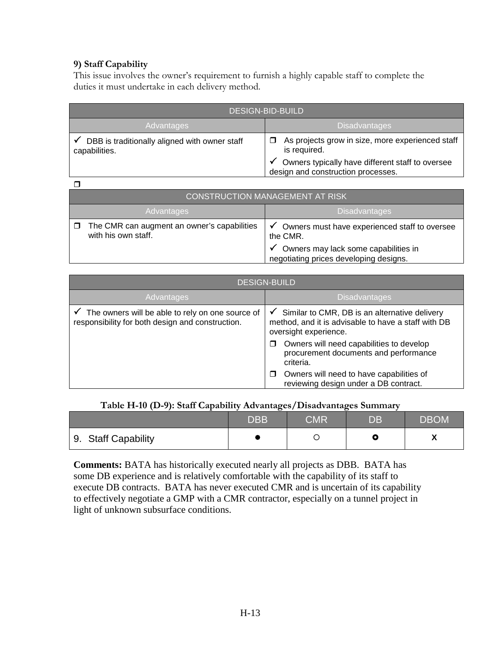#### **9) Staff Capability**

This issue involves the owner's requirement to furnish a highly capable staff to complete the duties it must undertake in each delivery method.

| <b>DESIGN-BID-BUILD</b>                                        |                                                                                        |  |
|----------------------------------------------------------------|----------------------------------------------------------------------------------------|--|
| <b>Advantages</b>                                              | <b>Disadvantages</b>                                                                   |  |
| DBB is traditionally aligned with owner staff<br>capabilities. | As projects grow in size, more experienced staff<br>is required.                       |  |
|                                                                | Owners typically have different staff to oversee<br>design and construction processes. |  |

 $\Box$ 

| <b>CONSTRUCTION MANAGEMENT AT RISK</b>                             |                                                                                |  |
|--------------------------------------------------------------------|--------------------------------------------------------------------------------|--|
| <b>Disadvantages</b><br>Advantages                                 |                                                                                |  |
| The CMR can augment an owner's capabilities<br>with his own staff. | Owners must have experienced staff to oversee<br>the CMR.                      |  |
|                                                                    | Owners may lack some capabilities in<br>negotiating prices developing designs. |  |

| <b>DESIGN-BUILD</b>                                                                                  |                                                                                                                                               |  |
|------------------------------------------------------------------------------------------------------|-----------------------------------------------------------------------------------------------------------------------------------------------|--|
| Advantages                                                                                           | <b>Disadvantages</b>                                                                                                                          |  |
| The owners will be able to rely on one source of<br>responsibility for both design and construction. | Similar to CMR, DB is an alternative delivery<br>$\checkmark$<br>method, and it is advisable to have a staff with DB<br>oversight experience. |  |
|                                                                                                      | Owners will need capabilities to develop<br>procurement documents and performance<br>criteria.                                                |  |
|                                                                                                      | Owners will need to have capabilities of<br>reviewing design under a DB contract.                                                             |  |

#### **Table H-10 (D-9): Staff Capability Advantages/Disadvantages Summary**

|                     | <b>DBB</b> | ${\sf CMR}$ | DB | <b>DBOM</b> |
|---------------------|------------|-------------|----|-------------|
| 9. Staff Capability |            |             |    |             |

**Comments:** BATA has historically executed nearly all projects as DBB. BATA has some DB experience and is relatively comfortable with the capability of its staff to execute DB contracts. BATA has never executed CMR and is uncertain of its capability to effectively negotiate a GMP with a CMR contractor, especially on a tunnel project in light of unknown subsurface conditions.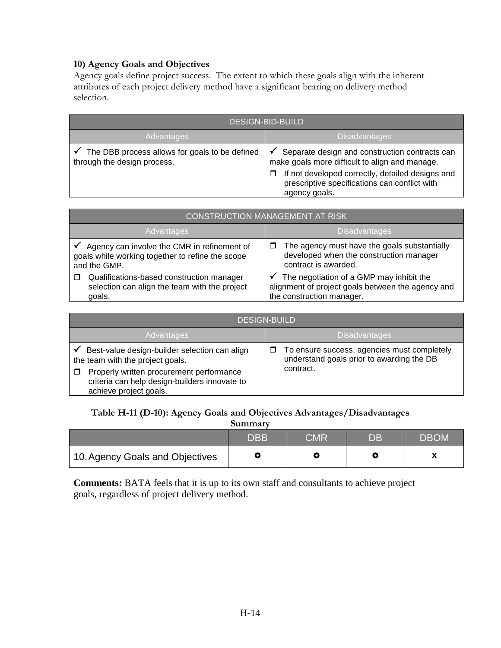## **10) Agency Goals and Objectives**

Agency goals define project success. The extent to which these goals align with the inherent attributes of each project delivery method have a significant bearing on delivery method selection.

| <b>DESIGN-BID-BUILD</b>                                                       |                                                                                                                                                                                                                                  |  |
|-------------------------------------------------------------------------------|----------------------------------------------------------------------------------------------------------------------------------------------------------------------------------------------------------------------------------|--|
| <b>Advantages</b>                                                             | <b>Disadvantages</b>                                                                                                                                                                                                             |  |
| The DBB process allows for goals to be defined<br>through the design process. | Separate design and construction contracts can<br>make goals more difficult to align and manage.<br>If not developed correctly, detailed designs and<br>$\Box$<br>prescriptive specifications can conflict with<br>agency goals. |  |

| <b>CONSTRUCTION MANAGEMENT AT RISK</b>                                                                          |                                                                                                                                 |  |
|-----------------------------------------------------------------------------------------------------------------|---------------------------------------------------------------------------------------------------------------------------------|--|
| Advantages                                                                                                      | <b>Disadvantages</b>                                                                                                            |  |
| Agency can involve the CMR in refinement of<br>goals while working together to refine the scope<br>and the GMP. | The agency must have the goals substantially<br>developed when the construction manager<br>contract is awarded.                 |  |
| Qualifications-based construction manager<br>selection can align the team with the project<br>goals.            | The negotiation of a GMP may inhibit the<br>✔<br>alignment of project goals between the agency and<br>the construction manager. |  |

| <b>DESIGN-BUILD</b>                                                                                                                                                                                      |                                                                                                                 |  |
|----------------------------------------------------------------------------------------------------------------------------------------------------------------------------------------------------------|-----------------------------------------------------------------------------------------------------------------|--|
| Advantages                                                                                                                                                                                               | <b>Disadvantages</b>                                                                                            |  |
| Best-value design-builder selection can align<br>the team with the project goals.<br>Properly written procurement performance<br>criteria can help design-builders innovate to<br>achieve project goals. | To ensure success, agencies must completely<br>$\Box$<br>understand goals prior to awarding the DB<br>contract. |  |

## **Table H-11 (D-10): Agency Goals and Objectives Advantages/Disadvantages**

| Summary                         |            |            |     |             |
|---------------------------------|------------|------------|-----|-------------|
|                                 | <b>DBB</b> | <b>CMR</b> | DB. | <b>DBOM</b> |
| 10. Agency Goals and Objectives |            | О          |     |             |

**Comments:** BATA feels that it is up to its own staff and consultants to achieve project goals, regardless of project delivery method.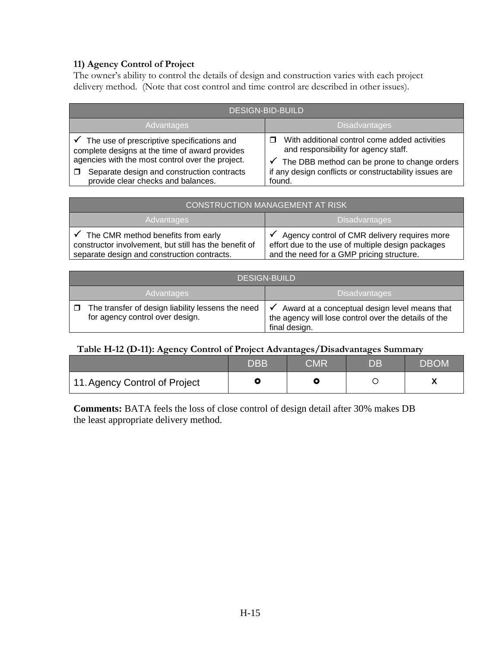## **11) Agency Control of Project**

The owner's ability to control the details of design and construction varies with each project delivery method. (Note that cost control and time control are described in other issues).

| <b>DESIGN-BID-BUILD</b>                                                                                                                                                                                                                           |                                                                                                                                                                                                                        |  |
|---------------------------------------------------------------------------------------------------------------------------------------------------------------------------------------------------------------------------------------------------|------------------------------------------------------------------------------------------------------------------------------------------------------------------------------------------------------------------------|--|
| Advantages                                                                                                                                                                                                                                        | <b>Disadvantages</b>                                                                                                                                                                                                   |  |
| $\checkmark$ The use of prescriptive specifications and<br>complete designs at the time of award provides<br>agencies with the most control over the project.<br>Separate design and construction contracts<br>provide clear checks and balances. | With additional control come added activities<br>and responsibility for agency staff.<br>$\checkmark$ The DBB method can be prone to change orders<br>if any design conflicts or constructability issues are<br>found. |  |

| CONSTRUCTION MANAGEMENT AT RISK                                                                                                            |                                                                                                                                                |  |
|--------------------------------------------------------------------------------------------------------------------------------------------|------------------------------------------------------------------------------------------------------------------------------------------------|--|
| <b>Disadvantages</b><br>Advantages                                                                                                         |                                                                                                                                                |  |
| The CMR method benefits from early<br>constructor involvement, but still has the benefit of<br>separate design and construction contracts. | Agency control of CMR delivery requires more<br>effort due to the use of multiple design packages<br>and the need for a GMP pricing structure. |  |

| <b>DESIGN-BUILD</b>                                                                  |                                                                                                                                        |  |
|--------------------------------------------------------------------------------------|----------------------------------------------------------------------------------------------------------------------------------------|--|
| <b>Disadvantages</b><br><b>Advantages</b>                                            |                                                                                                                                        |  |
| The transfer of design liability lessens the need<br>for agency control over design. | Award at a conceptual design level means that<br>$\checkmark$<br>the agency will lose control over the details of the<br>final design. |  |

## **Table H-12 (D-11): Agency Control of Project Advantages/Disadvantages Summary**

|                               | <b>DBB</b> | CMR | DB. | <b>DBOM</b> |
|-------------------------------|------------|-----|-----|-------------|
| 11. Agency Control of Project |            |     |     |             |

**Comments:** BATA feels the loss of close control of design detail after 30% makes DB the least appropriate delivery method.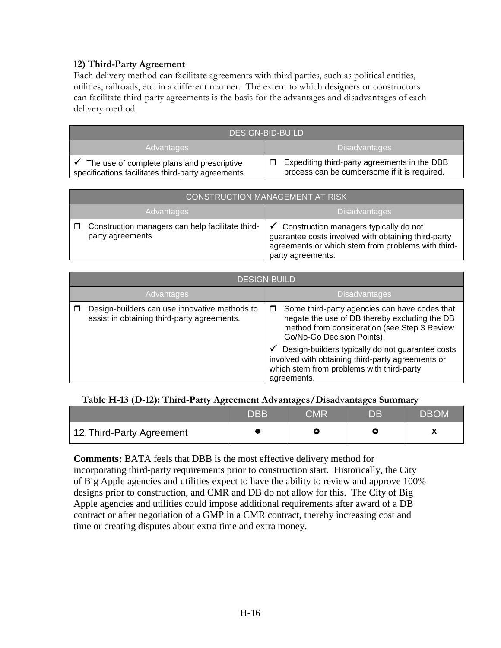### **12) Third-Party Agreement**

Each delivery method can facilitate agreements with third parties, such as political entities, utilities, railroads, etc. in a different manner. The extent to which designers or constructors can facilitate third-party agreements is the basis for the advantages and disadvantages of each delivery method.

| <b>DESIGN-BID-BUILD</b>                                                                          |                                                                                              |  |
|--------------------------------------------------------------------------------------------------|----------------------------------------------------------------------------------------------|--|
| Advantages                                                                                       | <b>Disadvantages</b>                                                                         |  |
| The use of complete plans and prescriptive<br>specifications facilitates third-party agreements. | Expediting third-party agreements in the DBB<br>process can be cumbersome if it is required. |  |

| CONSTRUCTION MANAGEMENT AT RISK                                       |                                                                                                                                                                                       |  |
|-----------------------------------------------------------------------|---------------------------------------------------------------------------------------------------------------------------------------------------------------------------------------|--|
| <b>Disadvantages</b><br>Advantages                                    |                                                                                                                                                                                       |  |
| Construction managers can help facilitate third-<br>party agreements. | $\checkmark$ Construction managers typically do not<br>guarantee costs involved with obtaining third-party<br>agreements or which stem from problems with third-<br>party agreements. |  |

| <b>DESIGN-BUILD</b>                                                                          |                                                                                                                                                                                                                                                                                                                                                        |  |
|----------------------------------------------------------------------------------------------|--------------------------------------------------------------------------------------------------------------------------------------------------------------------------------------------------------------------------------------------------------------------------------------------------------------------------------------------------------|--|
| Advantages                                                                                   | <b>Disadvantages</b>                                                                                                                                                                                                                                                                                                                                   |  |
| Design-builders can use innovative methods to<br>assist in obtaining third-party agreements. | Some third-party agencies can have codes that<br>negate the use of DB thereby excluding the DB<br>method from consideration (see Step 3 Review<br>Go/No-Go Decision Points).<br>Design-builders typically do not guarantee costs<br>٧<br>involved with obtaining third-party agreements or<br>which stem from problems with third-party<br>agreements. |  |

#### **Table H-13 (D-12): Third-Party Agreement Advantages/Disadvantages Summary**

|                           | <b>DBB</b> | CMR | DB | <b>DBOM</b> |
|---------------------------|------------|-----|----|-------------|
| 12. Third-Party Agreement |            |     |    |             |

**Comments:** BATA feels that DBB is the most effective delivery method for

incorporating third-party requirements prior to construction start. Historically, the City of Big Apple agencies and utilities expect to have the ability to review and approve 100% designs prior to construction, and CMR and DB do not allow for this. The City of Big Apple agencies and utilities could impose additional requirements after award of a DB contract or after negotiation of a GMP in a CMR contract, thereby increasing cost and time or creating disputes about extra time and extra money.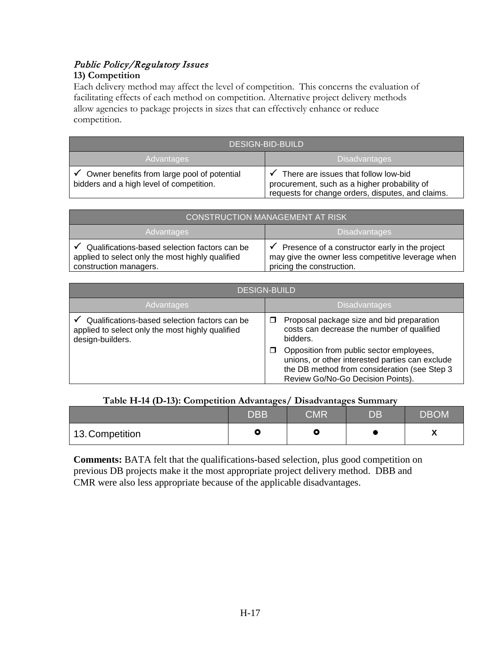# Public Policy/Regulatory Issues

### **13) Competition**

Each delivery method may affect the level of competition. This concerns the evaluation of facilitating effects of each method on competition. Alternative project delivery methods allow agencies to package projects in sizes that can effectively enhance or reduce competition.

| <b>DESIGN-BID-BUILD</b>                                                                 |                                                                                                                                           |  |
|-----------------------------------------------------------------------------------------|-------------------------------------------------------------------------------------------------------------------------------------------|--|
| <b>Advantages</b>                                                                       | <b>Disadvantages</b>                                                                                                                      |  |
| Owner benefits from large pool of potential<br>bidders and a high level of competition. | There are issues that follow low-bid<br>procurement, such as a higher probability of<br>requests for change orders, disputes, and claims. |  |

| <b>CONSTRUCTION MANAGEMENT AT RISK</b>                                                                                                   |                                                                                                                                  |  |
|------------------------------------------------------------------------------------------------------------------------------------------|----------------------------------------------------------------------------------------------------------------------------------|--|
| <b>Advantages</b>                                                                                                                        | <b>Disadvantages</b>                                                                                                             |  |
| $\checkmark$ Qualifications-based selection factors can be<br>applied to select only the most highly qualified<br>construction managers. | Presence of a constructor early in the project<br>may give the owner less competitive leverage when<br>pricing the construction. |  |

| <b>DESIGN-BUILD</b>                                                                                                   |                                                                                                                                                                                  |  |
|-----------------------------------------------------------------------------------------------------------------------|----------------------------------------------------------------------------------------------------------------------------------------------------------------------------------|--|
| Advantages                                                                                                            | <b>Disadvantages</b>                                                                                                                                                             |  |
| Qualifications-based selection factors can be<br>applied to select only the most highly qualified<br>design-builders. | Proposal package size and bid preparation<br>□<br>costs can decrease the number of qualified<br>bidders.                                                                         |  |
|                                                                                                                       | Opposition from public sector employees,<br>unions, or other interested parties can exclude<br>the DB method from consideration (see Step 3<br>Review Go/No-Go Decision Points). |  |

### **Table H-14 (D-13): Competition Advantages/ Disadvantages Summary**

|                 | <b>DBB</b> | CMR | $\overline{\mathsf{DB}}$ | <b>DBOM</b> |
|-----------------|------------|-----|--------------------------|-------------|
| 13. Competition |            |     |                          | . .         |

**Comments:** BATA felt that the qualifications-based selection, plus good competition on previous DB projects make it the most appropriate project delivery method. DBB and CMR were also less appropriate because of the applicable disadvantages.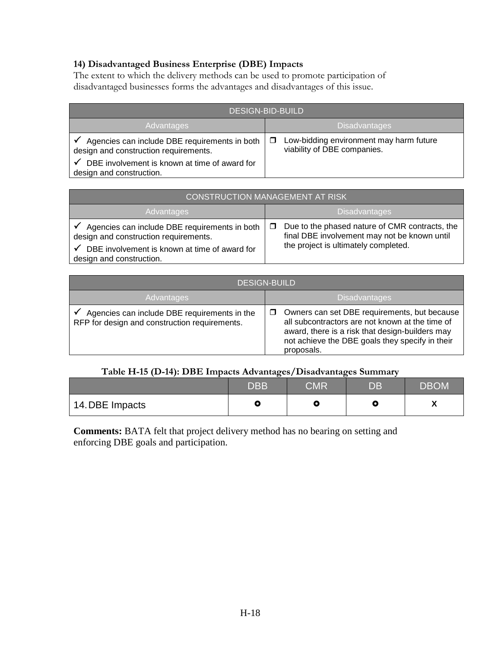## **14) Disadvantaged Business Enterprise (DBE) Impacts**

The extent to which the delivery methods can be used to promote participation of disadvantaged businesses forms the advantages and disadvantages of this issue.

| <b>DESIGN-BID-BUILD</b>                                                                |                                                                        |  |  |
|----------------------------------------------------------------------------------------|------------------------------------------------------------------------|--|--|
| <b>Advantages</b>                                                                      | <b>Disadvantages</b>                                                   |  |  |
| Agencies can include DBE requirements in both<br>design and construction requirements. | Low-bidding environment may harm future<br>viability of DBE companies. |  |  |
| DBE involvement is known at time of award for<br>design and construction.              |                                                                        |  |  |

| <b>CONSTRUCTION MANAGEMENT AT RISK</b>                                                                                                                                   |                                                                                                                                        |  |
|--------------------------------------------------------------------------------------------------------------------------------------------------------------------------|----------------------------------------------------------------------------------------------------------------------------------------|--|
| Advantages                                                                                                                                                               | <b>Disadvantages</b>                                                                                                                   |  |
| Agencies can include DBE requirements in both<br>design and construction requirements.<br>DBE involvement is known at time of award for<br>√<br>design and construction. | Due to the phased nature of CMR contracts, the<br>final DBE involvement may not be known until<br>the project is ultimately completed. |  |

| <b>DESIGN-BUILD</b>                                                                           |                                                                                                                                                                                                                     |  |
|-----------------------------------------------------------------------------------------------|---------------------------------------------------------------------------------------------------------------------------------------------------------------------------------------------------------------------|--|
| Advantages                                                                                    | <b>Disadvantages</b>                                                                                                                                                                                                |  |
| Agencies can include DBE requirements in the<br>RFP for design and construction requirements. | Owners can set DBE requirements, but because<br>all subcontractors are not known at the time of<br>award, there is a risk that design-builders may<br>not achieve the DBE goals they specify in their<br>proposals. |  |

## **Table H-15 (D-14): DBE Impacts Advantages/Disadvantages Summary**

|                 | $\mathsf{DBB}'$ | <b>CMR</b> | DB | <b>DBOM</b> |
|-----------------|-----------------|------------|----|-------------|
| 14. DBE Impacts |                 |            | ື  |             |

**Comments:** BATA felt that project delivery method has no bearing on setting and enforcing DBE goals and participation.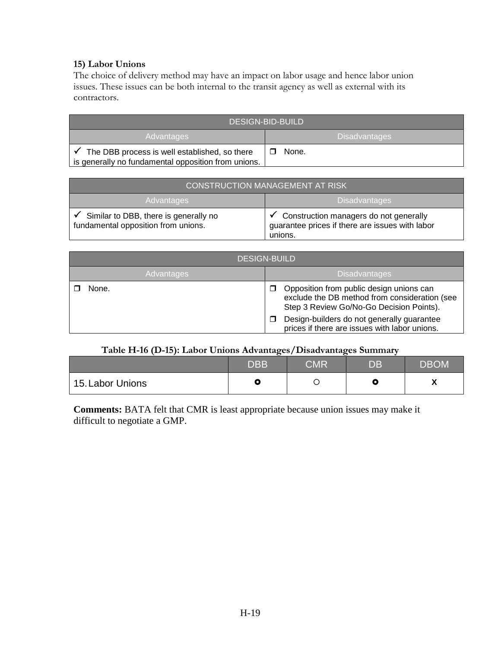#### **15) Labor Unions**

The choice of delivery method may have an impact on labor usage and hence labor union issues. These issues can be both internal to the transit agency as well as external with its contractors.

| <b>DESIGN-BID-BUILD</b>                                                                              |                      |
|------------------------------------------------------------------------------------------------------|----------------------|
| Advantages                                                                                           | <b>Disadvantages</b> |
| The DBB process is well established, so there<br>is generally no fundamental opposition from unions. | None.                |

| <b>CONSTRUCTION MANAGEMENT AT RISK</b>                                       |                                                                                                      |  |
|------------------------------------------------------------------------------|------------------------------------------------------------------------------------------------------|--|
| <b>Disadvantages</b><br>Advantages                                           |                                                                                                      |  |
| Similar to DBB, there is generally no<br>fundamental opposition from unions. | Construction managers do not generally<br>guarantee prices if there are issues with labor<br>unions. |  |

| <b>DESIGN-BUILD</b> |                                                                                                                                       |  |  |
|---------------------|---------------------------------------------------------------------------------------------------------------------------------------|--|--|
| Advantages          | <b>Disadvantages</b>                                                                                                                  |  |  |
| None.               | Opposition from public design unions can<br>exclude the DB method from consideration (see<br>Step 3 Review Go/No-Go Decision Points). |  |  |
|                     | Design-builders do not generally guarantee<br>prices if there are issues with labor unions.                                           |  |  |

#### **Table H-16 (D-15): Labor Unions Advantages/Disadvantages Summary**

|                  | <b>DBB</b> | <b>CMR</b> | DB. | <b>DBOM</b> |
|------------------|------------|------------|-----|-------------|
| 15. Labor Unions |            |            |     |             |

**Comments:** BATA felt that CMR is least appropriate because union issues may make it difficult to negotiate a GMP.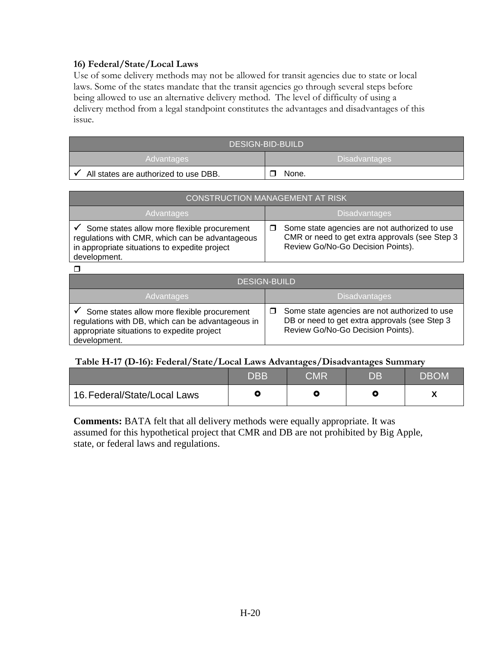#### **16) Federal/State/Local Laws**

Use of some delivery methods may not be allowed for transit agencies due to state or local laws. Some of the states mandate that the transit agencies go through several steps before being allowed to use an alternative delivery method. The level of difficulty of using a delivery method from a legal standpoint constitutes the advantages and disadvantages of this issue.

| DESIGN-BID-BUILD                      |                   |  |
|---------------------------------------|-------------------|--|
| Advantages                            | l Disadvantages i |  |
| All states are authorized to use DBB. | None.             |  |

| <b>CONSTRUCTION MANAGEMENT AT RISK</b>                                                                                                                          |                                                                                                                                      |  |  |
|-----------------------------------------------------------------------------------------------------------------------------------------------------------------|--------------------------------------------------------------------------------------------------------------------------------------|--|--|
| Advantages                                                                                                                                                      | <b>Disadvantages</b>                                                                                                                 |  |  |
| Some states allow more flexible procurement<br>regulations with CMR, which can be advantageous<br>in appropriate situations to expedite project<br>development. | Some state agencies are not authorized to use<br>CMR or need to get extra approvals (see Step 3<br>Review Go/No-Go Decision Points). |  |  |

 $\Box$ 

| <b>DESIGN-BUILD</b>                                                                                                                                            |                                                                                                                                          |  |  |
|----------------------------------------------------------------------------------------------------------------------------------------------------------------|------------------------------------------------------------------------------------------------------------------------------------------|--|--|
| <b>Advantages</b>                                                                                                                                              | <b>Disadvantages</b>                                                                                                                     |  |  |
| Some states allow more flexible procurement<br>regulations with DB, which can be advantageous in<br>appropriate situations to expedite project<br>development. | Some state agencies are not authorized to use<br>□<br>DB or need to get extra approvals (see Step 3<br>Review Go/No-Go Decision Points). |  |  |

#### **Table H-17 (D-16): Federal/State/Local Laws Advantages/Disadvantages Summary**

|                              | <b>DBB</b> | $\overline{\mathsf{CMR}}$ | DB. | <b>DBOM</b> |
|------------------------------|------------|---------------------------|-----|-------------|
| 16. Federal/State/Local Laws |            |                           |     |             |

**Comments:** BATA felt that all delivery methods were equally appropriate. It was assumed for this hypothetical project that CMR and DB are not prohibited by Big Apple, state, or federal laws and regulations.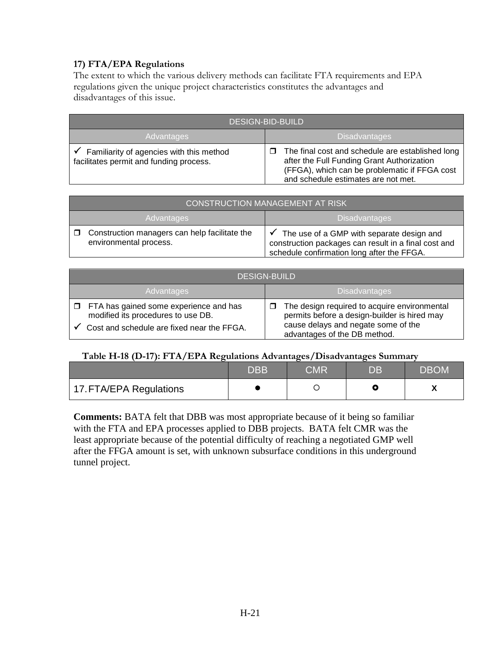## **17) FTA/EPA Regulations**

The extent to which the various delivery methods can facilitate FTA requirements and EPA regulations given the unique project characteristics constitutes the advantages and disadvantages of this issue.

| <b>DESIGN-BID-BUILD</b>                                                             |                                                                                                                                                                                             |  |
|-------------------------------------------------------------------------------------|---------------------------------------------------------------------------------------------------------------------------------------------------------------------------------------------|--|
| <b>Advantages</b>                                                                   | <b>Disadvantages</b>                                                                                                                                                                        |  |
| Familiarity of agencies with this method<br>facilitates permit and funding process. | The final cost and schedule are established long<br>п<br>after the Full Funding Grant Authorization<br>(FFGA), which can be problematic if FFGA cost<br>and schedule estimates are not met. |  |

| <b>CONSTRUCTION MANAGEMENT AT RISK</b>                                       |                                                                                                                                                              |  |
|------------------------------------------------------------------------------|--------------------------------------------------------------------------------------------------------------------------------------------------------------|--|
| Advantages                                                                   | <b>Disadvantages</b>                                                                                                                                         |  |
| Construction managers can help facilitate the<br>□<br>environmental process. | $\checkmark$ The use of a GMP with separate design and<br>construction packages can result in a final cost and<br>schedule confirmation long after the FFGA. |  |

| <b>DESIGN-BUILD</b>                                                                                                               |                                                                                                                                                                     |  |  |
|-----------------------------------------------------------------------------------------------------------------------------------|---------------------------------------------------------------------------------------------------------------------------------------------------------------------|--|--|
| <b>Advantages</b>                                                                                                                 | <b>Disadvantages</b>                                                                                                                                                |  |  |
| $\Box$ FTA has gained some experience and has<br>modified its procedures to use DB.<br>Cost and schedule are fixed near the FFGA. | The design required to acquire environmental<br>permits before a design-builder is hired may<br>cause delays and negate some of the<br>advantages of the DB method. |  |  |

#### **Table H-18 (D-17): FTA/EPA Regulations Advantages/Disadvantages Summary**

|                         | <b>DBB</b> | CMR | DB | <b>DBOM</b> |
|-------------------------|------------|-----|----|-------------|
| 17. FTA/EPA Regulations |            |     |    |             |

**Comments:** BATA felt that DBB was most appropriate because of it being so familiar with the FTA and EPA processes applied to DBB projects. BATA felt CMR was the least appropriate because of the potential difficulty of reaching a negotiated GMP well after the FFGA amount is set, with unknown subsurface conditions in this underground tunnel project.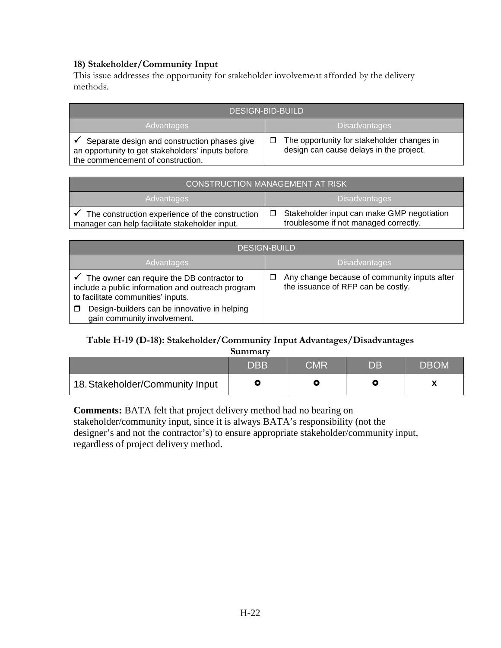### **18) Stakeholder/Community Input**

This issue addresses the opportunity for stakeholder involvement afforded by the delivery methods.

| <b>DESIGN-BID-BUILD</b>                                                                                                                |                                                                                       |  |
|----------------------------------------------------------------------------------------------------------------------------------------|---------------------------------------------------------------------------------------|--|
| Advantages                                                                                                                             | <b>Disadvantages</b>                                                                  |  |
| Separate design and construction phases give<br>an opportunity to get stakeholders' inputs before<br>the commencement of construction. | The opportunity for stakeholder changes in<br>design can cause delays in the project. |  |

| <b>CONSTRUCTION MANAGEMENT AT RISK</b>                                                            |                                                                                     |  |
|---------------------------------------------------------------------------------------------------|-------------------------------------------------------------------------------------|--|
| Advantages                                                                                        | <b>Disadvantages</b>                                                                |  |
| The construction experience of the construction<br>manager can help facilitate stakeholder input. | Stakeholder input can make GMP negotiation<br>troublesome if not managed correctly. |  |

| <b>DESIGN-BUILD</b>                                                                                                                                |                                                                                    |  |
|----------------------------------------------------------------------------------------------------------------------------------------------------|------------------------------------------------------------------------------------|--|
| Advantages                                                                                                                                         | <b>Disadvantages</b>                                                               |  |
| $\checkmark$ The owner can require the DB contractor to<br>include a public information and outreach program<br>to facilitate communities' inputs. | Any change because of community inputs after<br>the issuance of RFP can be costly. |  |
| Design-builders can be innovative in helping<br>gain community involvement.                                                                        |                                                                                    |  |

## **Table H-19 (D-18): Stakeholder/Community Input Advantages/Disadvantages**

|                                 | <b>DBB</b> | CMR | DB. | <b>DBOM</b> |
|---------------------------------|------------|-----|-----|-------------|
| 18. Stakeholder/Community Input |            |     |     |             |

**Comments:** BATA felt that project delivery method had no bearing on stakeholder/community input, since it is always BATA's responsibility (not the designer's and not the contractor's) to ensure appropriate stakeholder/community input, regardless of project delivery method.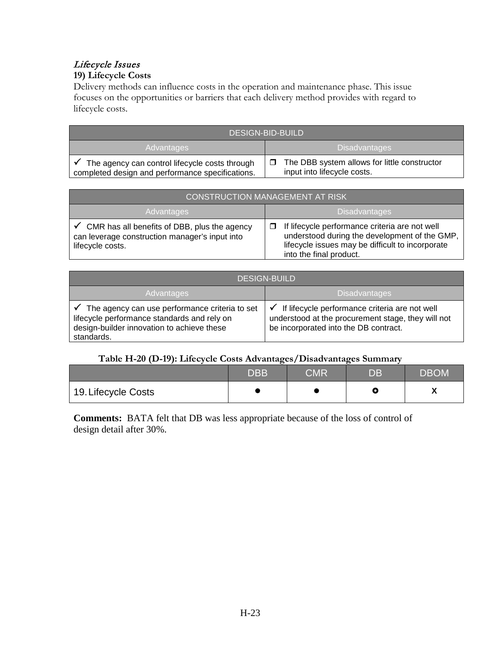# Lifecycle Issues

# **19) Lifecycle Costs**

Delivery methods can influence costs in the operation and maintenance phase. This issue focuses on the opportunities or barriers that each delivery method provides with regard to lifecycle costs.

| <b>DESIGN-BID-BUILD</b>                                                                            |                                                                             |  |
|----------------------------------------------------------------------------------------------------|-----------------------------------------------------------------------------|--|
| <b>Disadvantages</b><br>Advantages                                                                 |                                                                             |  |
| The agency can control lifecycle costs through<br>completed design and performance specifications. | The DBB system allows for little constructor<br>input into lifecycle costs. |  |

| <b>CONSTRUCTION MANAGEMENT AT RISK</b>                                                                                          |                                                                                                                                                                                      |  |
|---------------------------------------------------------------------------------------------------------------------------------|--------------------------------------------------------------------------------------------------------------------------------------------------------------------------------------|--|
| <b>Advantages</b>                                                                                                               | Disadvantages                                                                                                                                                                        |  |
| $\checkmark$ CMR has all benefits of DBB, plus the agency<br>can leverage construction manager's input into<br>lifecycle costs. | If lifecycle performance criteria are not well<br>П.<br>understood during the development of the GMP,<br>lifecycle issues may be difficult to incorporate<br>into the final product. |  |

| <b>DESIGN-BUILD</b>                                                                                                                                       |                                                                                                                                                    |  |
|-----------------------------------------------------------------------------------------------------------------------------------------------------------|----------------------------------------------------------------------------------------------------------------------------------------------------|--|
| <b>Advantages</b>                                                                                                                                         | <b>Disadvantages</b>                                                                                                                               |  |
| The agency can use performance criteria to set<br>lifecycle performance standards and rely on<br>design-builder innovation to achieve these<br>standards. | If lifecycle performance criteria are not well<br>√<br>understood at the procurement stage, they will not<br>be incorporated into the DB contract. |  |

#### **Table H-20 (D-19): Lifecycle Costs Advantages/Disadvantages Summary**

|                     | <b>DBB</b> | ${\sf CMR}$ | DB | <b>DBOM</b> |
|---------------------|------------|-------------|----|-------------|
| 19. Lifecycle Costs |            |             |    |             |

**Comments:** BATA felt that DB was less appropriate because of the loss of control of design detail after 30%.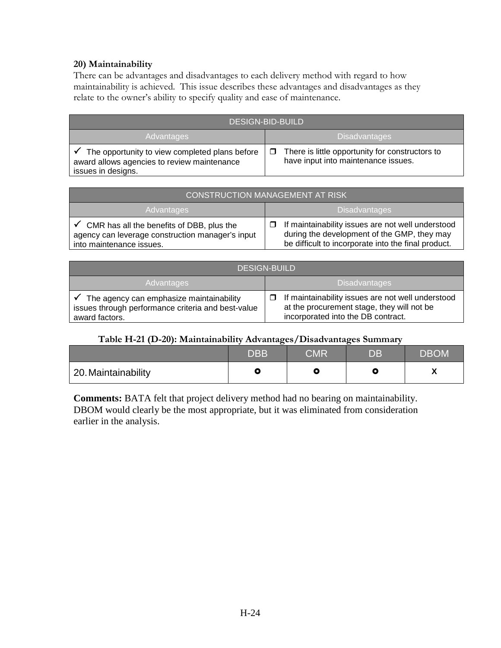#### **20) Maintainability**

There can be advantages and disadvantages to each delivery method with regard to how maintainability is achieved. This issue describes these advantages and disadvantages as they relate to the owner's ability to specify quality and ease of maintenance.

| <b>DESIGN-BID-BUILD</b>                                                                                             |                                                                                                  |  |
|---------------------------------------------------------------------------------------------------------------------|--------------------------------------------------------------------------------------------------|--|
| Advantages                                                                                                          | <b>Disadvantages</b>                                                                             |  |
| The opportunity to view completed plans before<br>award allows agencies to review maintenance<br>issues in designs. | There is little opportunity for constructors to<br>$\Box$<br>have input into maintenance issues. |  |

| <b>CONSTRUCTION MANAGEMENT AT RISK</b>                                                                                                 |                                                                                                                                                                |  |
|----------------------------------------------------------------------------------------------------------------------------------------|----------------------------------------------------------------------------------------------------------------------------------------------------------------|--|
| <b>Advantages</b>                                                                                                                      | <b>Disadvantages</b>                                                                                                                                           |  |
| $\checkmark$ CMR has all the benefits of DBB, plus the<br>agency can leverage construction manager's input<br>into maintenance issues. | $\Box$ If maintainability issues are not well understood<br>during the development of the GMP, they may<br>be difficult to incorporate into the final product. |  |

| <b>DESIGN-BUILD</b>                                                                                                           |                                                                                                                                            |  |
|-------------------------------------------------------------------------------------------------------------------------------|--------------------------------------------------------------------------------------------------------------------------------------------|--|
| <b>Advantages</b>                                                                                                             | <b>Disadvantages</b>                                                                                                                       |  |
| $\checkmark$ The agency can emphasize maintainability<br>issues through performance criteria and best-value<br>award factors. | If maintainability issues are not well understood<br>⊓<br>at the procurement stage, they will not be<br>incorporated into the DB contract. |  |

## **Table H-21 (D-20): Maintainability Advantages/Disadvantages Summary**

|                     | <b>DBB</b> | <b>CMR</b> | DB | <b>DBOM</b> |
|---------------------|------------|------------|----|-------------|
| 20. Maintainability |            |            |    |             |

**Comments:** BATA felt that project delivery method had no bearing on maintainability. DBOM would clearly be the most appropriate, but it was eliminated from consideration earlier in the analysis.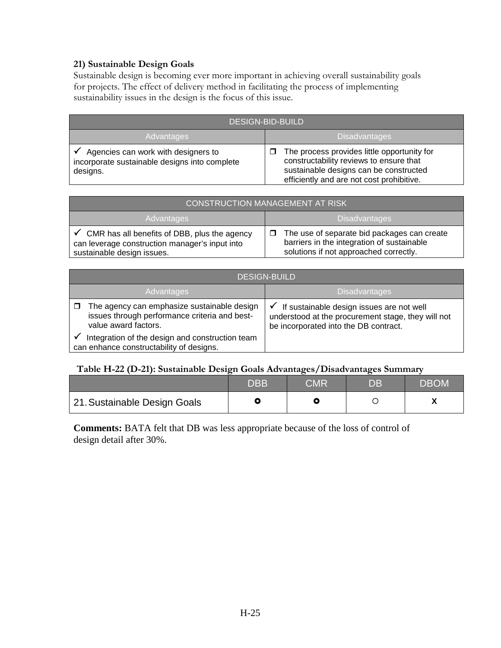## **21) Sustainable Design Goals**

Sustainable design is becoming ever more important in achieving overall sustainability goals for projects. The effect of delivery method in facilitating the process of implementing sustainability issues in the design is the focus of this issue.

| <b>DESIGN-BID-BUILD</b>                                                                          |                                                                                                                                                                                    |  |
|--------------------------------------------------------------------------------------------------|------------------------------------------------------------------------------------------------------------------------------------------------------------------------------------|--|
| Advantages                                                                                       | <b>Disadvantages</b>                                                                                                                                                               |  |
| Agencies can work with designers to<br>incorporate sustainable designs into complete<br>designs. | The process provides little opportunity for<br>□<br>constructability reviews to ensure that<br>sustainable designs can be constructed<br>efficiently and are not cost prohibitive. |  |

| <b>CONSTRUCTION MANAGEMENT AT RISK</b>                                                                                                    |                                                                                                                                          |  |
|-------------------------------------------------------------------------------------------------------------------------------------------|------------------------------------------------------------------------------------------------------------------------------------------|--|
| <b>Advantages</b>                                                                                                                         | <b>Disadvantages</b>                                                                                                                     |  |
| $\checkmark$ CMR has all benefits of DBB, plus the agency<br>can leverage construction manager's input into<br>sustainable design issues. | The use of separate bid packages can create<br>□<br>barriers in the integration of sustainable<br>solutions if not approached correctly. |  |

| <b>DESIGN-BUILD</b>                                                                                                  |                                                                                                                                          |  |
|----------------------------------------------------------------------------------------------------------------------|------------------------------------------------------------------------------------------------------------------------------------------|--|
| <b>Advantages</b>                                                                                                    | <b>Disadvantages</b>                                                                                                                     |  |
| The agency can emphasize sustainable design<br>issues through performance criteria and best-<br>value award factors. | If sustainable design issues are not well<br>understood at the procurement stage, they will not<br>be incorporated into the DB contract. |  |
| Integration of the design and construction team<br>can enhance constructability of designs.                          |                                                                                                                                          |  |

#### **Table H-22 (D-21): Sustainable Design Goals Advantages/Disadvantages Summary**

|                              | <b>DBB</b> | CMR | DB | <b>DBOM</b> |
|------------------------------|------------|-----|----|-------------|
| 21. Sustainable Design Goals |            |     |    |             |

**Comments:** BATA felt that DB was less appropriate because of the loss of control of design detail after 30%.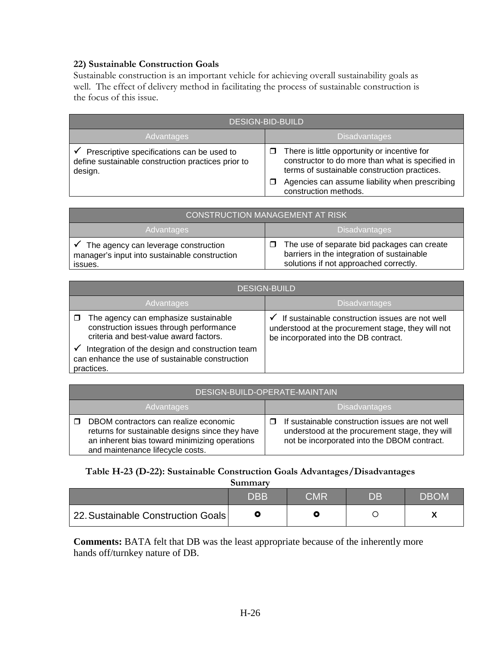### **22) Sustainable Construction Goals**

Sustainable construction is an important vehicle for achieving overall sustainability goals as well. The effect of delivery method in facilitating the process of sustainable construction is the focus of this issue.

| <b>DESIGN-BID-BUILD</b>                                                                                     |                                                                                                                                                       |  |
|-------------------------------------------------------------------------------------------------------------|-------------------------------------------------------------------------------------------------------------------------------------------------------|--|
| Advantages                                                                                                  | <b>Disadvantages</b>                                                                                                                                  |  |
| Prescriptive specifications can be used to<br>define sustainable construction practices prior to<br>design. | There is little opportunity or incentive for<br>□<br>constructor to do more than what is specified in<br>terms of sustainable construction practices. |  |
|                                                                                                             | Agencies can assume liability when prescribing<br>□<br>construction methods.                                                                          |  |

| CONSTRUCTION MANAGEMENT AT RISK                                                                               |                                                                                                                                               |  |
|---------------------------------------------------------------------------------------------------------------|-----------------------------------------------------------------------------------------------------------------------------------------------|--|
| <b>Advantages</b>                                                                                             | <b>Disadvantages</b>                                                                                                                          |  |
| $\checkmark$ The agency can leverage construction<br>manager's input into sustainable construction<br>issues. | The use of separate bid packages can create<br>$\Box$<br>barriers in the integration of sustainable<br>solutions if not approached correctly. |  |

| <b>DESIGN-BUILD</b>                                                                                                       |                                                                                                                                                |  |
|---------------------------------------------------------------------------------------------------------------------------|------------------------------------------------------------------------------------------------------------------------------------------------|--|
| Advantages                                                                                                                | <b>Disadvantages</b>                                                                                                                           |  |
| The agency can emphasize sustainable<br>construction issues through performance<br>criteria and best-value award factors. | If sustainable construction issues are not well<br>understood at the procurement stage, they will not<br>be incorporated into the DB contract. |  |
| Integration of the design and construction team<br>can enhance the use of sustainable construction<br>practices.          |                                                                                                                                                |  |

| DESIGN-BUILD-OPERATE-MAINTAIN                                                                                                                                                 |   |                                                                                                                                                  |
|-------------------------------------------------------------------------------------------------------------------------------------------------------------------------------|---|--------------------------------------------------------------------------------------------------------------------------------------------------|
| <b>Advantages</b>                                                                                                                                                             |   | <b>Disadvantages</b>                                                                                                                             |
| DBOM contractors can realize economic<br>returns for sustainable designs since they have<br>an inherent bias toward minimizing operations<br>and maintenance lifecycle costs. | п | If sustainable construction issues are not well<br>understood at the procurement stage, they will<br>not be incorporated into the DBOM contract. |

# **Table H-23 (D-22): Sustainable Construction Goals Advantages/Disadvantages**

**Summary**

|                                    | $\overline{\mathsf{DBB}}$ | CMR | DB | DBOM |
|------------------------------------|---------------------------|-----|----|------|
| 22. Sustainable Construction Goals |                           |     |    |      |

**Comments:** BATA felt that DB was the least appropriate because of the inherently more hands off/turnkey nature of DB.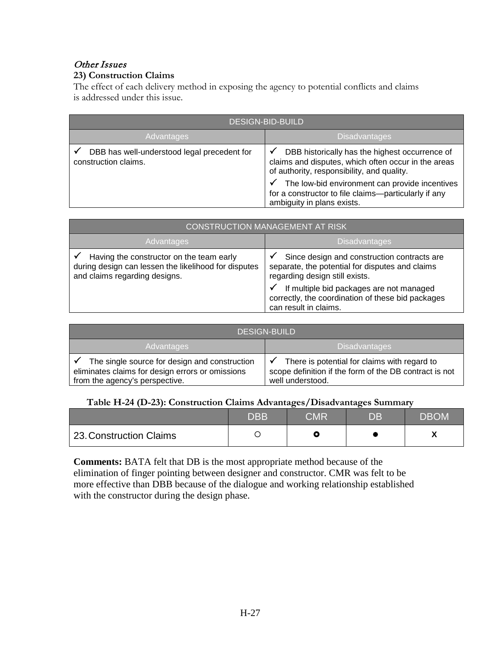# Other Issues

## **23) Construction Claims**

The effect of each delivery method in exposing the agency to potential conflicts and claims is addressed under this issue.

| <b>DESIGN-BID-BUILD</b>                                             |                                                                                                                                                                                                                                                                                             |  |
|---------------------------------------------------------------------|---------------------------------------------------------------------------------------------------------------------------------------------------------------------------------------------------------------------------------------------------------------------------------------------|--|
| Advantages                                                          | <b>Disadvantages</b>                                                                                                                                                                                                                                                                        |  |
| DBB has well-understood legal precedent for<br>construction claims. | DBB historically has the highest occurrence of<br>claims and disputes, which often occur in the areas<br>of authority, responsibility, and quality.<br>The low-bid environment can provide incentives<br>for a constructor to file claims-particularly if any<br>ambiguity in plans exists. |  |

| <b>CONSTRUCTION MANAGEMENT AT RISK</b>                                                                                            |                                                                                                                                                                                                                                                                 |  |
|-----------------------------------------------------------------------------------------------------------------------------------|-----------------------------------------------------------------------------------------------------------------------------------------------------------------------------------------------------------------------------------------------------------------|--|
| Advantages                                                                                                                        | <b>Disadvantages</b>                                                                                                                                                                                                                                            |  |
| Having the constructor on the team early<br>during design can lessen the likelihood for disputes<br>and claims regarding designs. | Since design and construction contracts are<br>separate, the potential for disputes and claims<br>regarding design still exists.<br>If multiple bid packages are not managed<br>✓<br>correctly, the coordination of these bid packages<br>can result in claims. |  |

| <b>DESIGN-BUILD</b>                                                                                                                 |                                                                                                                            |  |
|-------------------------------------------------------------------------------------------------------------------------------------|----------------------------------------------------------------------------------------------------------------------------|--|
| Advantages                                                                                                                          | <b>Disadvantages</b>                                                                                                       |  |
| The single source for design and construction<br>eliminates claims for design errors or omissions<br>from the agency's perspective. | There is potential for claims with regard to<br>scope definition if the form of the DB contract is not<br>well understood. |  |

#### **Table H-24 (D-23): Construction Claims Advantages/Disadvantages Summary**

|                         | <b>DBB</b> | CMR | DB. | <b>DBOM</b> |
|-------------------------|------------|-----|-----|-------------|
| 23. Construction Claims |            |     |     |             |

**Comments:** BATA felt that DB is the most appropriate method because of the elimination of finger pointing between designer and constructor. CMR was felt to be more effective than DBB because of the dialogue and working relationship established with the constructor during the design phase.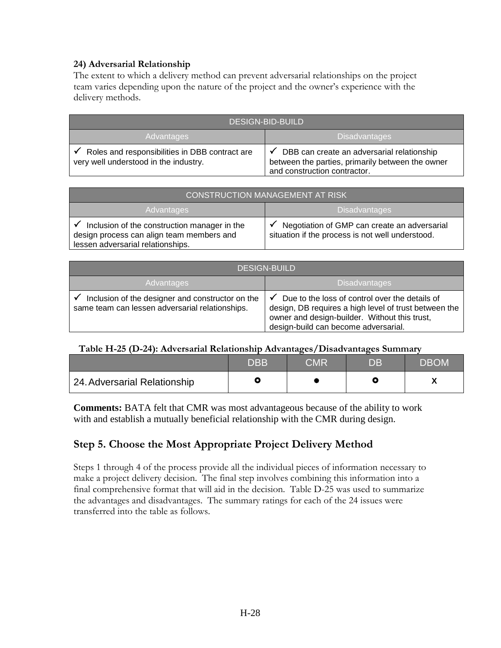#### **24) Adversarial Relationship**

The extent to which a delivery method can prevent adversarial relationships on the project team varies depending upon the nature of the project and the owner's experience with the delivery methods.

| <b>DESIGN-BID-BUILD</b>                                                                 |                                                                                                                                |  |
|-----------------------------------------------------------------------------------------|--------------------------------------------------------------------------------------------------------------------------------|--|
| Advantages                                                                              | <b>Disadvantages</b>                                                                                                           |  |
| Roles and responsibilities in DBB contract are<br>very well understood in the industry. | DBB can create an adversarial relationship<br>between the parties, primarily between the owner<br>and construction contractor. |  |

| <b>CONSTRUCTION MANAGEMENT AT RISK</b>                                                                                         |                                                                                                  |  |  |  |  |
|--------------------------------------------------------------------------------------------------------------------------------|--------------------------------------------------------------------------------------------------|--|--|--|--|
| <b>Advantages</b>                                                                                                              | <b>Disadvantages</b>                                                                             |  |  |  |  |
| Inclusion of the construction manager in the<br>design process can align team members and<br>lessen adversarial relationships. | Negotiation of GMP can create an adversarial<br>situation if the process is not well understood. |  |  |  |  |

| <b>DESIGN-BUILD</b>                                                                                 |                                                                                                                                                                                                       |  |  |  |
|-----------------------------------------------------------------------------------------------------|-------------------------------------------------------------------------------------------------------------------------------------------------------------------------------------------------------|--|--|--|
| <b>Advantages</b>                                                                                   | <b>Disadvantages</b>                                                                                                                                                                                  |  |  |  |
| Inclusion of the designer and constructor on the<br>same team can lessen adversarial relationships. | Due to the loss of control over the details of<br>√<br>design, DB requires a high level of trust between the<br>owner and design-builder. Without this trust,<br>design-build can become adversarial. |  |  |  |

#### **Table H-25 (D-24): Adversarial Relationship Advantages/Disadvantages Summary**

|                              | ${\sf DBB}$ | CMR | DB | <b>DBOM</b> |
|------------------------------|-------------|-----|----|-------------|
| 24. Adversarial Relationship |             |     |    |             |

**Comments:** BATA felt that CMR was most advantageous because of the ability to work with and establish a mutually beneficial relationship with the CMR during design.

# **Step 5. Choose the Most Appropriate Project Delivery Method**

Steps 1 through 4 of the process provide all the individual pieces of information necessary to make a project delivery decision. The final step involves combining this information into a final comprehensive format that will aid in the decision. Table D-25 was used to summarize the advantages and disadvantages. The summary ratings for each of the 24 issues were transferred into the table as follows.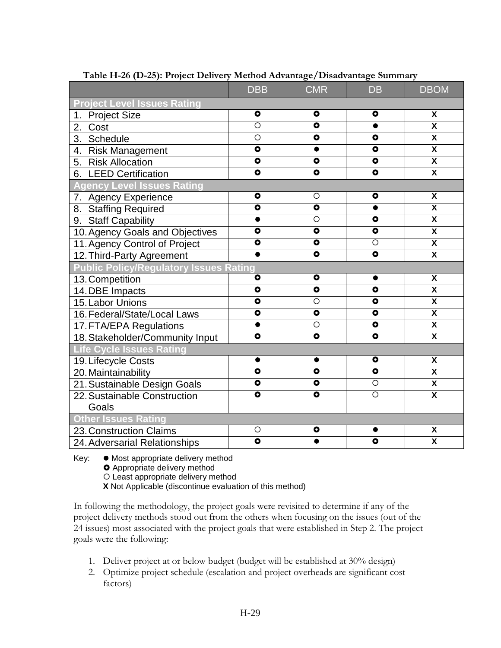| . <sub>.</sub><br>--                          | <b>DBB</b>           | <b>CMR</b>           | <b>DB</b>               | <b>DBOM</b>             |
|-----------------------------------------------|----------------------|----------------------|-------------------------|-------------------------|
| <b>Project Level Issues Rating</b>            |                      |                      |                         |                         |
| 1. Project Size                               | $\bullet$            | $\bullet$            | $\bullet$               | $\pmb{\mathsf{X}}$      |
| 2.<br>Cost                                    | $\overline{\circ}$   | $\overline{\bullet}$ | $\bullet$               | $\overline{\mathbf{x}}$ |
| Schedule<br>3.                                | $\overline{O}$       | $\bullet$            | $\bullet$               | $\overline{\mathbf{x}}$ |
| 4. Risk Management                            | $\bullet$            | $\bullet$            | $\bullet$               | $\overline{\mathbf{X}}$ |
| 5. Risk Allocation                            | $\overline{\bullet}$ | $\overline{\bullet}$ | $\overline{\bullet}$    | $\overline{\mathbf{x}}$ |
| 6. LEED Certification                         | $\overline{\bullet}$ | $\overline{\bullet}$ | $\overline{\bullet}$    | $\overline{\mathbf{x}}$ |
| <b>Agency Level Issues Rating</b>             |                      |                      |                         |                         |
| 7. Agency Experience                          | $\bullet$            | $\circ$              | $\bullet$               | X                       |
| 8. Staffing Required                          | $\overline{\bullet}$ | $\overline{\bullet}$ | $\bullet$               | $\overline{\mathbf{x}}$ |
| 9. Staff Capability                           | $\bullet$            | $\overline{\circ}$   | $\overline{\mathbf{o}}$ | $\overline{\mathbf{x}}$ |
| 10. Agency Goals and Objectives               | $\bullet$            | $\bullet$            | $\bullet$               | $\overline{\mathbf{x}}$ |
| 11. Agency Control of Project                 | $\bullet$            | $\bullet$            | $\circ$                 | $\overline{\mathbf{X}}$ |
| 12. Third-Party Agreement                     | $\bullet$            | $\bullet$            | $\bullet$               | $\overline{\mathbf{x}}$ |
| <b>Public Policy/Regulatory Issues Rating</b> |                      |                      |                         |                         |
| 13. Competition                               | $\bullet$            | $\bullet$            | $\bullet$               | $\overline{\mathbf{x}}$ |
| 14. DBE Impacts                               | $\overline{\bullet}$ | $\overline{\bullet}$ | $\overline{\bullet}$    | $\overline{\mathbf{x}}$ |
| 15. Labor Unions                              | $\overline{\bullet}$ | $\overline{O}$       | $\bullet$               | X                       |
| 16. Federal/State/Local Laws                  | $\overline{\bullet}$ | $\overline{\bullet}$ | $\overline{\bullet}$    | $\overline{\mathbf{X}}$ |
| 17. FTA/EPA Regulations                       | $\bullet$            | $\circ$              | $\overline{\bullet}$    | $\overline{\mathbf{x}}$ |
| 18. Stakeholder/Community Input               | $\overline{\bullet}$ | $\bullet$            | $\bullet$               | $\overline{\mathbf{x}}$ |
| <b>Life Cycle Issues Rating</b>               |                      |                      |                         |                         |
| 19. Lifecycle Costs                           | ●                    |                      | $\bullet$               | X                       |
| 20. Maintainability                           | $\overline{\bullet}$ | $\bullet$            | $\bullet$               | $\overline{\mathbf{x}}$ |
| 21. Sustainable Design Goals                  | $\overline{\bullet}$ | $\overline{\bullet}$ | $\overline{\circ}$      | $\overline{\mathbf{x}}$ |
| 22. Sustainable Construction                  | $\overline{\bullet}$ | $\overline{\bullet}$ | $\overline{\circ}$      | $\overline{\mathbf{X}}$ |
| Goals                                         |                      |                      |                         |                         |
| <b>Other Issues Rating</b>                    |                      |                      |                         |                         |
| 23. Construction Claims                       | O                    | $\bullet$            |                         | X                       |
| 24. Adversarial Relationships                 | $\overline{\bullet}$ |                      | $\bullet$               | $\overline{\mathsf{x}}$ |

**Table H-26 (D-25): Project Delivery Method Advantage/Disadvantage Summary**

Key: ● Most appropriate delivery method

**O** Appropriate delivery method

O Least appropriate delivery method

**X** Not Applicable (discontinue evaluation of this method)

In following the methodology, the project goals were revisited to determine if any of the project delivery methods stood out from the others when focusing on the issues (out of the 24 issues) most associated with the project goals that were established in Step 2. The project goals were the following:

- 1. Deliver project at or below budget (budget will be established at 30% design)
- 2. Optimize project schedule (escalation and project overheads are significant cost factors)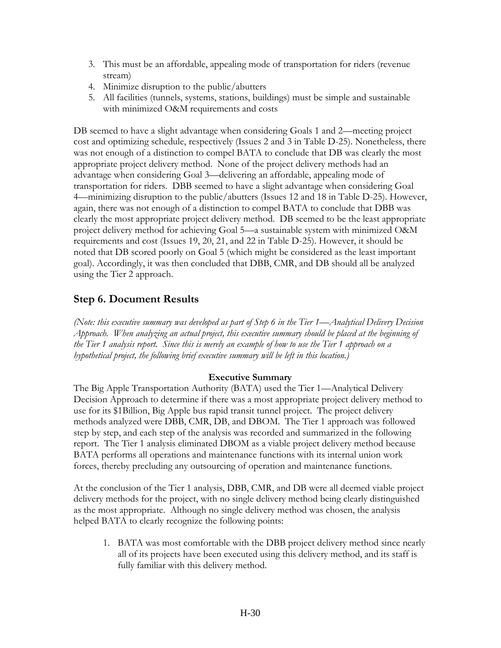- 3. This must be an affordable, appealing mode of transportation for riders (revenue stream)
- 4. Minimize disruption to the public/abutters
- 5. All facilities (tunnels, systems, stations, buildings) must be simple and sustainable with minimized O&M requirements and costs

DB seemed to have a slight advantage when considering Goals 1 and 2—meeting project cost and optimizing schedule, respectively (Issues 2 and 3 in Table D-25). Nonetheless, there was not enough of a distinction to compel BATA to conclude that DB was clearly the most appropriate project delivery method. None of the project delivery methods had an advantage when considering Goal 3—delivering an affordable, appealing mode of transportation for riders. DBB seemed to have a slight advantage when considering Goal 4—minimizing disruption to the public/abutters (Issues 12 and 18 in Table D-25). However, again, there was not enough of a distinction to compel BATA to conclude that DBB was clearly the most appropriate project delivery method. DB seemed to be the least appropriate project delivery method for achieving Goal 5—a sustainable system with minimized O&M requirements and cost (Issues 19, 20, 21, and 22 in Table D-25). However, it should be noted that DB scored poorly on Goal 5 (which might be considered as the least important goal). Accordingly, it was then concluded that DBB, CMR, and DB should all be analyzed using the Tier 2 approach.

# **Step 6. Document Results**

*(Note: this executive summary was developed as part of Step 6 in the Tier 1—Analytical Delivery Decision Approach. When analyzing an actual project, this executive summary should be placed at the beginning of the Tier 1 analysis report. Since this is merely an example of how to use the Tier 1 approach on a hypothetical project, the following brief executive summary will be left in this location.)*

### **Executive Summary**

The Big Apple Transportation Authority (BATA) used the Tier 1—Analytical Delivery Decision Approach to determine if there was a most appropriate project delivery method to use for its \$1Billion, Big Apple bus rapid transit tunnel project. The project delivery methods analyzed were DBB, CMR, DB, and DBOM. The Tier 1 approach was followed step by step, and each step of the analysis was recorded and summarized in the following report. The Tier 1 analysis eliminated DBOM as a viable project delivery method because BATA performs all operations and maintenance functions with its internal union work forces, thereby precluding any outsourcing of operation and maintenance functions.

At the conclusion of the Tier 1 analysis, DBB, CMR, and DB were all deemed viable project delivery methods for the project, with no single delivery method being clearly distinguished as the most appropriate. Although no single delivery method was chosen, the analysis helped BATA to clearly recognize the following points:

1. BATA was most comfortable with the DBB project delivery method since nearly all of its projects have been executed using this delivery method, and its staff is fully familiar with this delivery method.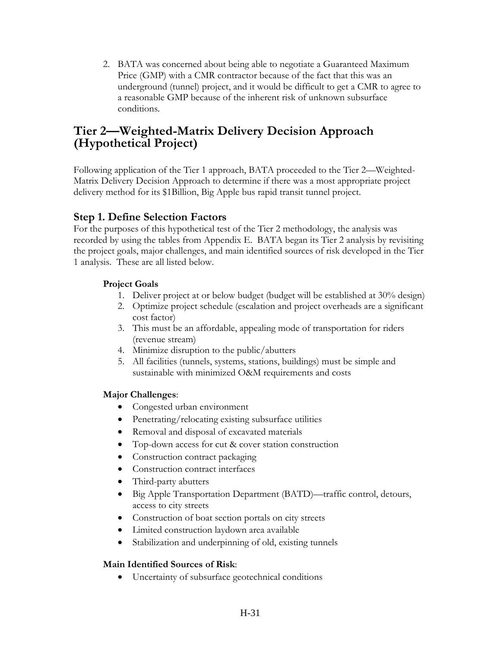2. BATA was concerned about being able to negotiate a Guaranteed Maximum Price (GMP) with a CMR contractor because of the fact that this was an underground (tunnel) project, and it would be difficult to get a CMR to agree to a reasonable GMP because of the inherent risk of unknown subsurface conditions.

# **Tier 2—Weighted-Matrix Delivery Decision Approach (Hypothetical Project)**

Following application of the Tier 1 approach, BATA proceeded to the Tier 2—Weighted-Matrix Delivery Decision Approach to determine if there was a most appropriate project delivery method for its \$1Billion, Big Apple bus rapid transit tunnel project.

# **Step 1. Define Selection Factors**

For the purposes of this hypothetical test of the Tier 2 methodology, the analysis was recorded by using the tables from Appendix E. BATA began its Tier 2 analysis by revisiting the project goals, major challenges, and main identified sources of risk developed in the Tier 1 analysis. These are all listed below.

### **Project Goals**

- 1. Deliver project at or below budget (budget will be established at 30% design)
- 2. Optimize project schedule (escalation and project overheads are a significant cost factor)
- 3. This must be an affordable, appealing mode of transportation for riders (revenue stream)
- 4. Minimize disruption to the public/abutters
- 5. All facilities (tunnels, systems, stations, buildings) must be simple and sustainable with minimized O&M requirements and costs

# **Major Challenges**:

- Congested urban environment
- Penetrating/relocating existing subsurface utilities
- Removal and disposal of excavated materials
- Top-down access for cut & cover station construction
- Construction contract packaging
- Construction contract interfaces
- Third-party abutters
- Big Apple Transportation Department (BATD)—traffic control, detours, access to city streets
- Construction of boat section portals on city streets
- Limited construction laydown area available
- Stabilization and underpinning of old, existing tunnels

# **Main Identified Sources of Risk**:

• Uncertainty of subsurface geotechnical conditions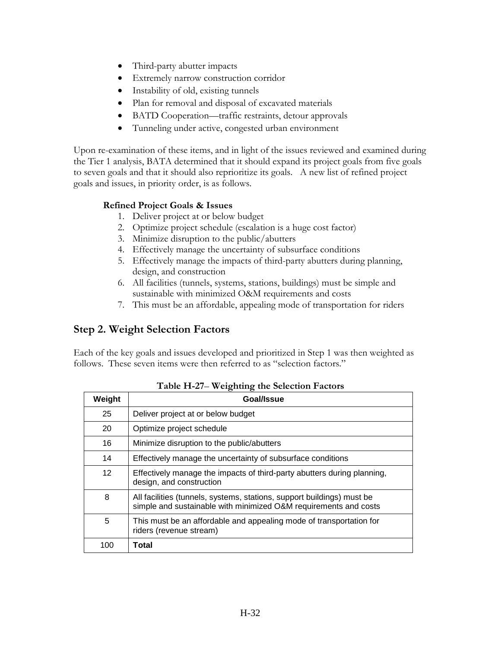- Third-party abutter impacts
- Extremely narrow construction corridor
- Instability of old, existing tunnels
- Plan for removal and disposal of excavated materials
- BATD Cooperation—traffic restraints, detour approvals
- Tunneling under active, congested urban environment

Upon re-examination of these items, and in light of the issues reviewed and examined during the Tier 1 analysis, BATA determined that it should expand its project goals from five goals to seven goals and that it should also reprioritize its goals. A new list of refined project goals and issues, in priority order, is as follows.

#### **Refined Project Goals & Issues**

- 1. Deliver project at or below budget
- 2. Optimize project schedule (escalation is a huge cost factor)
- 3. Minimize disruption to the public/abutters
- 4. Effectively manage the uncertainty of subsurface conditions
- 5. Effectively manage the impacts of third-party abutters during planning, design, and construction
- 6. All facilities (tunnels, systems, stations, buildings) must be simple and sustainable with minimized O&M requirements and costs
- 7. This must be an affordable, appealing mode of transportation for riders

# **Step 2. Weight Selection Factors**

Each of the key goals and issues developed and prioritized in Step 1 was then weighted as follows. These seven items were then referred to as "selection factors."

| Weight          | Goal/Issue                                                                                                                                 |
|-----------------|--------------------------------------------------------------------------------------------------------------------------------------------|
| 25              | Deliver project at or below budget                                                                                                         |
| 20              | Optimize project schedule                                                                                                                  |
| 16              | Minimize disruption to the public/abutters                                                                                                 |
| 14              | Effectively manage the uncertainty of subsurface conditions                                                                                |
| 12 <sup>2</sup> | Effectively manage the impacts of third-party abutters during planning,<br>design, and construction                                        |
| 8               | All facilities (tunnels, systems, stations, support buildings) must be<br>simple and sustainable with minimized O&M requirements and costs |
| 5               | This must be an affordable and appealing mode of transportation for<br>riders (revenue stream)                                             |
| 100             | Total                                                                                                                                      |

**Table H-27**– **Weighting the Selection Factors**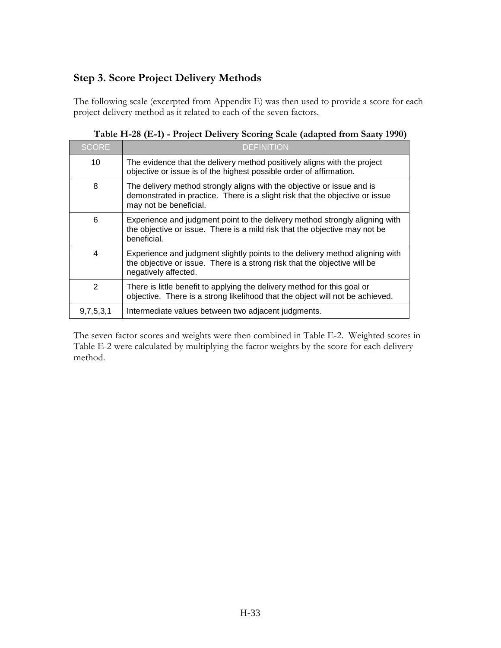# **Step 3. Score Project Delivery Methods**

The following scale (excerpted from Appendix E) was then used to provide a score for each project delivery method as it related to each of the seven factors.

| <b>SCORE</b> | <b>DEFINITION</b>                                                                                                                                                                 |
|--------------|-----------------------------------------------------------------------------------------------------------------------------------------------------------------------------------|
| 10           | The evidence that the delivery method positively aligns with the project<br>objective or issue is of the highest possible order of affirmation.                                   |
| 8            | The delivery method strongly aligns with the objective or issue and is<br>demonstrated in practice. There is a slight risk that the objective or issue<br>may not be beneficial.  |
| 6            | Experience and judgment point to the delivery method strongly aligning with<br>the objective or issue. There is a mild risk that the objective may not be<br>beneficial.          |
| 4            | Experience and judgment slightly points to the delivery method aligning with<br>the objective or issue. There is a strong risk that the objective will be<br>negatively affected. |
| 2            | There is little benefit to applying the delivery method for this goal or<br>objective. There is a strong likelihood that the object will not be achieved.                         |
| 9,7,5,3,1    | Intermediate values between two adjacent judgments.                                                                                                                               |

|  |  |  |  |  | Table H-28 (E-1) - Project Delivery Scoring Scale (adapted from Saaty 1990) |  |
|--|--|--|--|--|-----------------------------------------------------------------------------|--|
|--|--|--|--|--|-----------------------------------------------------------------------------|--|

The seven factor scores and weights were then combined in Table E-2. Weighted scores in Table E-2 were calculated by multiplying the factor weights by the score for each delivery method.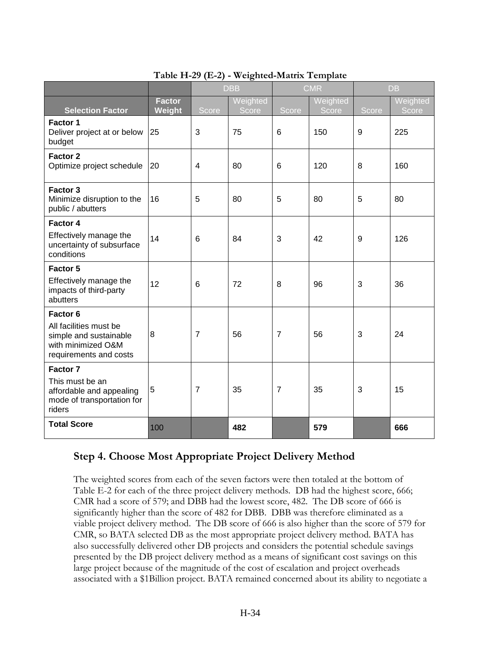| radic 11-29 ( $E$ -2) - weighted-matrix remplate                                                 |                         |                |                   |                |                   |           |                   |  |
|--------------------------------------------------------------------------------------------------|-------------------------|----------------|-------------------|----------------|-------------------|-----------|-------------------|--|
|                                                                                                  |                         | <b>DBB</b>     |                   | <b>CMR</b>     |                   | <b>DB</b> |                   |  |
| <b>Selection Factor</b>                                                                          | <b>Factor</b><br>Weight | Score          | Weighted<br>Score | Score          | Weighted<br>Score | Score     | Weighted<br>Score |  |
| <b>Factor 1</b><br>Deliver project at or below<br>budget                                         | 25                      | 3              | 75                | 6              | 150               | 9         | 225               |  |
| Factor 2<br>Optimize project schedule                                                            | 20                      | $\overline{4}$ | 80                | 6              | 120               | 8         | 160               |  |
| Factor 3<br>Minimize disruption to the<br>public / abutters                                      | 16                      | 5              | 80                | 5              | 80                | 5         | 80                |  |
| Factor 4                                                                                         |                         |                |                   |                |                   |           |                   |  |
| Effectively manage the<br>uncertainty of subsurface<br>conditions                                | 14                      | 6              | 84                | 3              | 42                | 9         | 126               |  |
| Factor 5                                                                                         |                         |                |                   |                |                   |           |                   |  |
| Effectively manage the<br>impacts of third-party<br>abutters                                     | 12                      | 6              | 72                | 8              | 96                | 3         | 36                |  |
| Factor 6                                                                                         |                         |                |                   |                |                   |           |                   |  |
| All facilities must be<br>simple and sustainable<br>with minimized O&M<br>requirements and costs | 8                       | $\overline{7}$ | 56                | $\overline{7}$ | 56                | 3         | 24                |  |
| Factor 7                                                                                         |                         |                |                   |                |                   |           |                   |  |
| This must be an<br>affordable and appealing<br>mode of transportation for<br>riders              | 5                       | $\overline{7}$ | 35                | $\overline{7}$ | 35                | 3         | 15                |  |
| <b>Total Score</b>                                                                               | 100                     |                | 482               |                | 579               |           | 666               |  |

### **Table H-29 (E-2) - Weighted-Matrix Template**

# **Step 4. Choose Most Appropriate Project Delivery Method**

The weighted scores from each of the seven factors were then totaled at the bottom of Table E-2 for each of the three project delivery methods. DB had the highest score, 666; CMR had a score of 579; and DBB had the lowest score, 482. The DB score of 666 is significantly higher than the score of 482 for DBB. DBB was therefore eliminated as a viable project delivery method. The DB score of 666 is also higher than the score of 579 for CMR, so BATA selected DB as the most appropriate project delivery method. BATA has also successfully delivered other DB projects and considers the potential schedule savings presented by the DB project delivery method as a means of significant cost savings on this large project because of the magnitude of the cost of escalation and project overheads associated with a \$1Billion project. BATA remained concerned about its ability to negotiate a